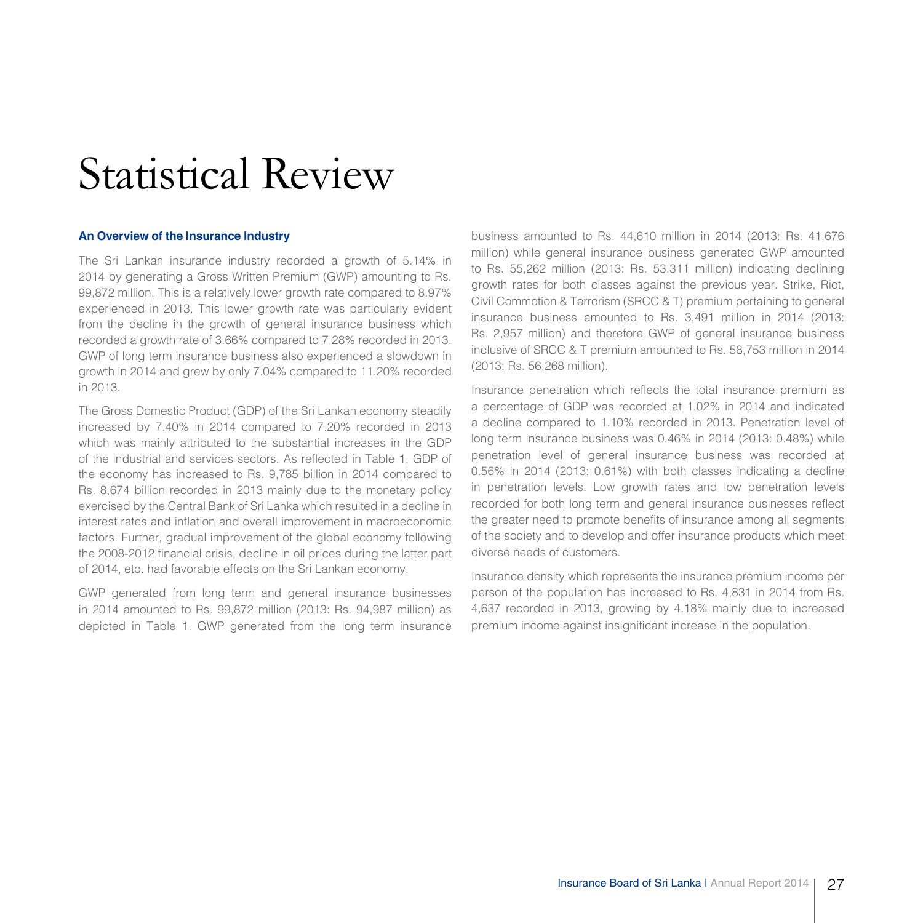# Statistical Review

#### **An overview of the Insurance Industry**

The Sri Lankan insurance industry recorded a growth of 5.14% in 2014 by generating a Gross Written Premium (GWP) amounting to Rs. 99,872 million. This is a relatively lower growth rate compared to 8.97% experienced in 2013. This lower growth rate was particularly evident from the decline in the growth of general insurance business which recorded a growth rate of 3.66% compared to 7.28% recorded in 2013. GWP of long term insurance business also experienced a slowdown in growth in 2014 and grew by only 7.04% compared to 11.20% recorded in 2013.

The Gross Domestic Product (GDP) of the Sri Lankan economy steadily increased by 7.40% in 2014 compared to 7.20% recorded in 2013 which was mainly attributed to the substantial increases in the GDP of the industrial and services sectors. As reflected in Table 1, GDP of the economy has increased to Rs. 9,785 billion in 2014 compared to Rs. 8,674 billion recorded in 2013 mainly due to the monetary policy exercised by the Central Bank of Sri Lanka which resulted in a decline in interest rates and inflation and overall improvement in macroeconomic factors. Further, gradual improvement of the global economy following the 2008-2012 financial crisis, decline in oil prices during the latter part of 2014, etc. had favorable effects on the Sri Lankan economy.

GWP generated from long term and general insurance businesses in 2014 amounted to Rs. 99,872 million (2013: Rs. 94,987 million) as depicted in Table 1. GWP generated from the long term insurance business amounted to Rs. 44,610 million in 2014 (2013: Rs. 41,676 million) while general insurance business generated GWP amounted to Rs. 55,262 million (2013: Rs. 53,311 million) indicating declining growth rates for both classes against the previous year. Strike, Riot, Civil Commotion & Terrorism (SRCC & T) premium pertaining to general insurance business amounted to Rs. 3,491 million in 2014 (2013: Rs. 2,957 million) and therefore GWP of general insurance business inclusive of SRCC & T premium amounted to Rs. 58,753 million in 2014 (2013: Rs. 56,268 million).

Insurance penetration which reflects the total insurance premium as a percentage of GDP was recorded at 1.02% in 2014 and indicated a decline compared to 1.10% recorded in 2013. Penetration level of long term insurance business was 0.46% in 2014 (2013: 0.48%) while penetration level of general insurance business was recorded at 0.56% in 2014 (2013: 0.61%) with both classes indicating a decline in penetration levels. Low growth rates and low penetration levels recorded for both long term and general insurance businesses reflect the greater need to promote benefits of insurance among all segments of the society and to develop and offer insurance products which meet diverse needs of customers.

Insurance density which represents the insurance premium income per person of the population has increased to Rs. 4,831 in 2014 from Rs. 4,637 recorded in 2013, growing by 4.18% mainly due to increased premium income against insignificant increase in the population.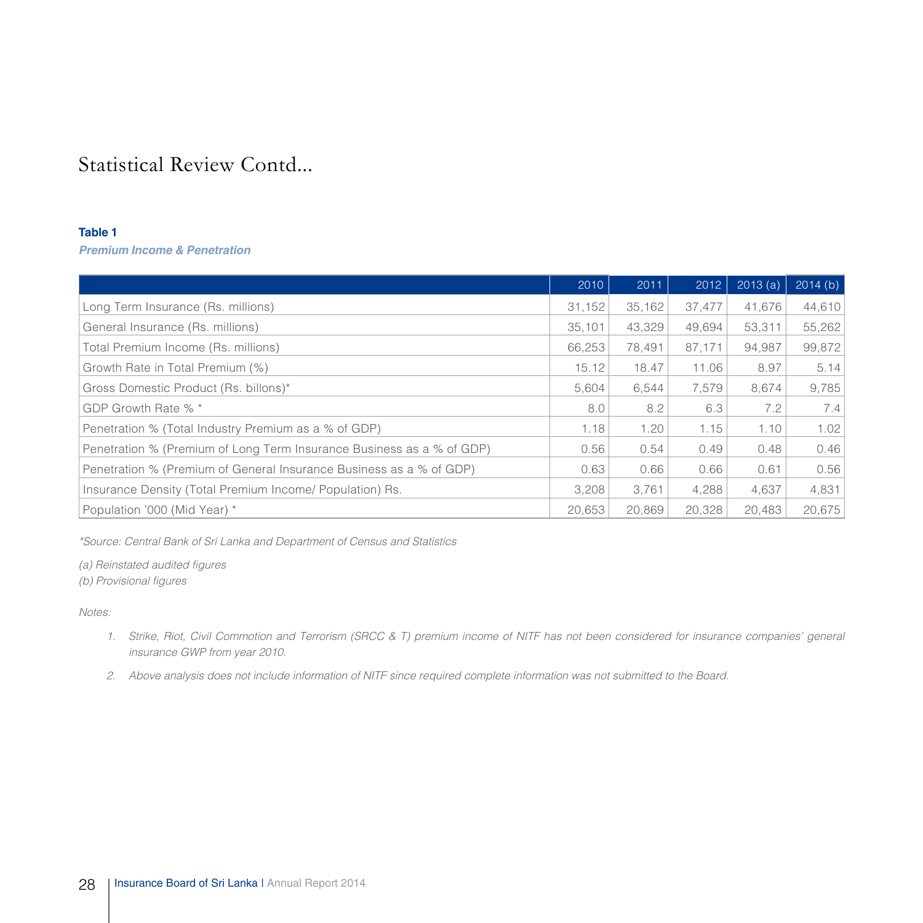#### **Table 1**

**Premium Income & Penetration**

|                                                                       | 2010   | 2011   | 2012   | 2013(a) | 2014(b) |
|-----------------------------------------------------------------------|--------|--------|--------|---------|---------|
| Long Term Insurance (Rs. millions)                                    | 31,152 | 35,162 | 37,477 | 41.676  | 44,610  |
| General Insurance (Rs. millions)                                      | 35,101 | 43,329 | 49,694 | 53,311  | 55,262  |
| Total Premium Income (Rs. millions)                                   | 66,253 | 78.491 | 87,171 | 94,987  | 99,872  |
| Growth Rate in Total Premium (%)                                      | 15.12  | 18.47  | 11.06  | 8.97    | 5.14    |
| Gross Domestic Product (Rs. billons)*                                 | 5,604  | 6,544  | 7,579  | 8,674   | 9,785   |
| GDP Growth Rate % *                                                   | 8.0    | 8.2    | 6.3    | 7.2     | 7.4     |
| Penetration % (Total Industry Premium as a % of GDP)                  | 1.18   | 1.20   | 1.15   | 1.10    | 1.02    |
| Penetration % (Premium of Long Term Insurance Business as a % of GDP) | 0.56   | 0.54   | 0.49   | 0.48    | 0.46    |
| Penetration % (Premium of General Insurance Business as a % of GDP)   | 0.63   | 0.66   | 0.66   | 0.61    | 0.56    |
| Insurance Density (Total Premium Income/ Population) Rs.              | 3,208  | 3.761  | 4.288  | 4.637   | 4,831   |
| Population '000 (Mid Year) *                                          | 20,653 | 20,869 | 20.328 | 20,483  | 20,675  |

*\*Source: Central Bank of Sri Lanka and Department of Census and Statistics*

*(a) Reinstated audited figures*

*(b) Provisional figures*

*Notes:*

- *1. Strike, Riot, Civil Commotion and Terrorism (SRCC & T) premium income of NITF has not been considered for insurance companies' general insurance GWP from year 2010.*
- *2. Above analysis does not include information of NITF since required complete information was not submitted to the Board.*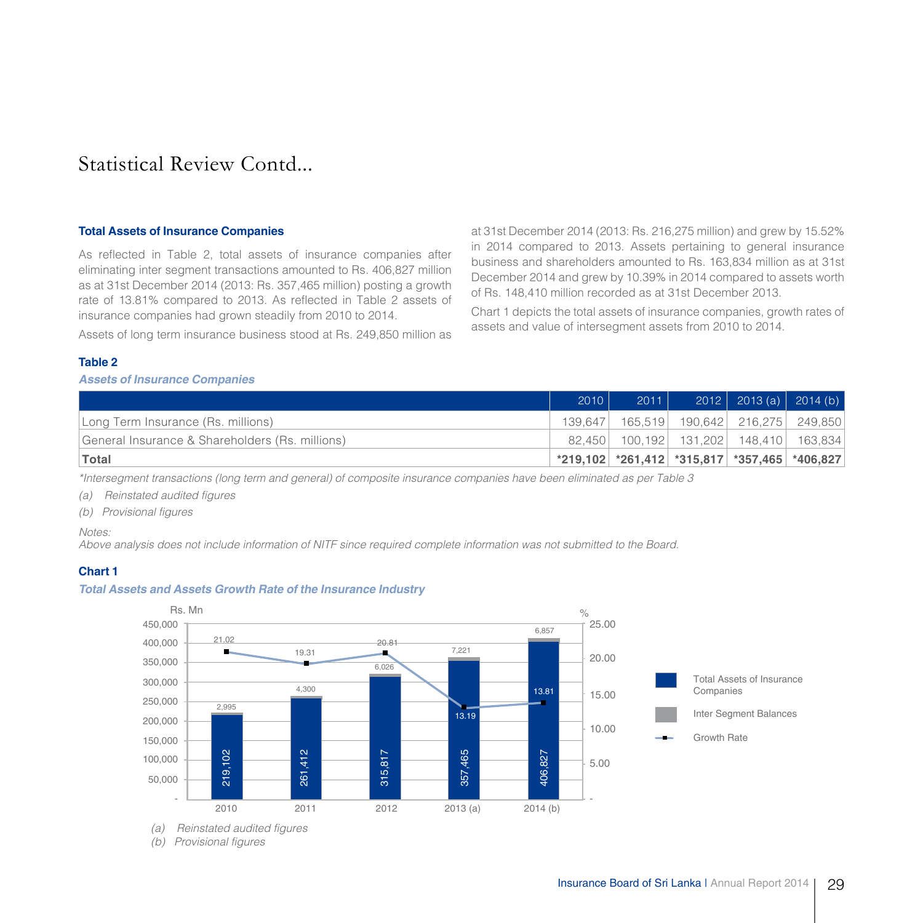#### **Total Assets of Insurance Companies**

As reflected in Table 2, total assets of insurance companies after eliminating inter segment transactions amounted to Rs. 406,827 million as at 31st December 2014 (2013: Rs. 357,465 million) posting a growth rate of 13.81% compared to 2013. As reflected in Table 2 assets of insurance companies had grown steadily from 2010 to 2014.

at 31st December 2014 (2013: Rs. 216,275 million) and grew by 15.52% in 2014 compared to 2013. Assets pertaining to general insurance business and shareholders amounted to Rs. 163,834 million as at 31st December 2014 and grew by 10.39% in 2014 compared to assets worth of Rs. 148,410 million recorded as at 31st December 2013.

Chart 1 depicts the total assets of insurance companies, growth rates of assets and value of intersegment assets from 2010 to 2014.

Assets of long term insurance business stood at Rs. 249,850 million as

#### **Table 2**

#### **Assets of Insurance Companies**

|                                                 | 2010 | 2011 | 2012 2013 (a) 2014 (b)                          |  |
|-------------------------------------------------|------|------|-------------------------------------------------|--|
| Long Term Insurance (Rs. millions)              |      |      | 139,647   165,519   190,642   216,275   249,850 |  |
| General Insurance & Shareholders (Rs. millions) |      |      | 82,450 100,192 131,202 148,410 163,834          |  |
| ⊺Total                                          |      |      |                                                 |  |

*\*Intersegment transactions (long term and general) of composite insurance companies have been eliminated as per Table 3*

- *(a) Reinstated audited figures*
- *(b) Provisional figures*

#### *Notes:*

*Above analysis does not include information of NITF since required complete information was not submitted to the Board.*

#### **Chart 1**

#### **Total Assets and Assets Growth Rate of the Insurance Industry**



*(b) Provisional figures*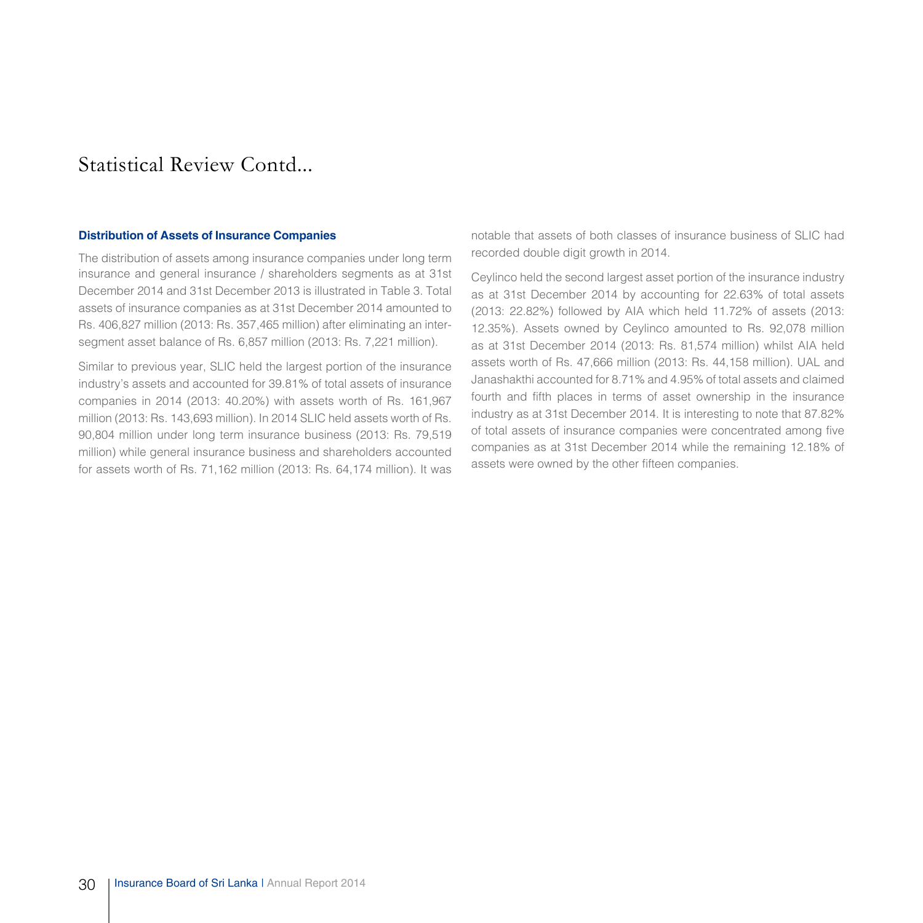#### **Distribution of Assets of Insurance Companies**

The distribution of assets among insurance companies under long term insurance and general insurance / shareholders segments as at 31st December 2014 and 31st December 2013 is illustrated in Table 3. Total assets of insurance companies as at 31st December 2014 amounted to Rs. 406,827 million (2013: Rs. 357,465 million) after eliminating an intersegment asset balance of Rs. 6,857 million (2013: Rs. 7,221 million).

Similar to previous year, SLIC held the largest portion of the insurance industry's assets and accounted for 39.81% of total assets of insurance companies in 2014 (2013: 40.20%) with assets worth of Rs. 161,967 million (2013: Rs. 143,693 million). In 2014 SLIC held assets worth of Rs. 90,804 million under long term insurance business (2013: Rs. 79,519 million) while general insurance business and shareholders accounted for assets worth of Rs. 71,162 million (2013: Rs. 64,174 million). It was

notable that assets of both classes of insurance business of SLIC had recorded double digit growth in 2014.

Ceylinco held the second largest asset portion of the insurance industry as at 31st December 2014 by accounting for 22.63% of total assets (2013: 22.82%) followed by AIA which held 11.72% of assets (2013: 12.35%). Assets owned by Ceylinco amounted to Rs. 92,078 million as at 31st December 2014 (2013: Rs. 81,574 million) whilst AIA held assets worth of Rs. 47,666 million (2013: Rs. 44,158 million). UAL and Janashakthi accounted for 8.71% and 4.95% of total assets and claimed fourth and fifth places in terms of asset ownership in the insurance industry as at 31st December 2014. It is interesting to note that 87.82% of total assets of insurance companies were concentrated among five companies as at 31st December 2014 while the remaining 12.18% of assets were owned by the other fifteen companies.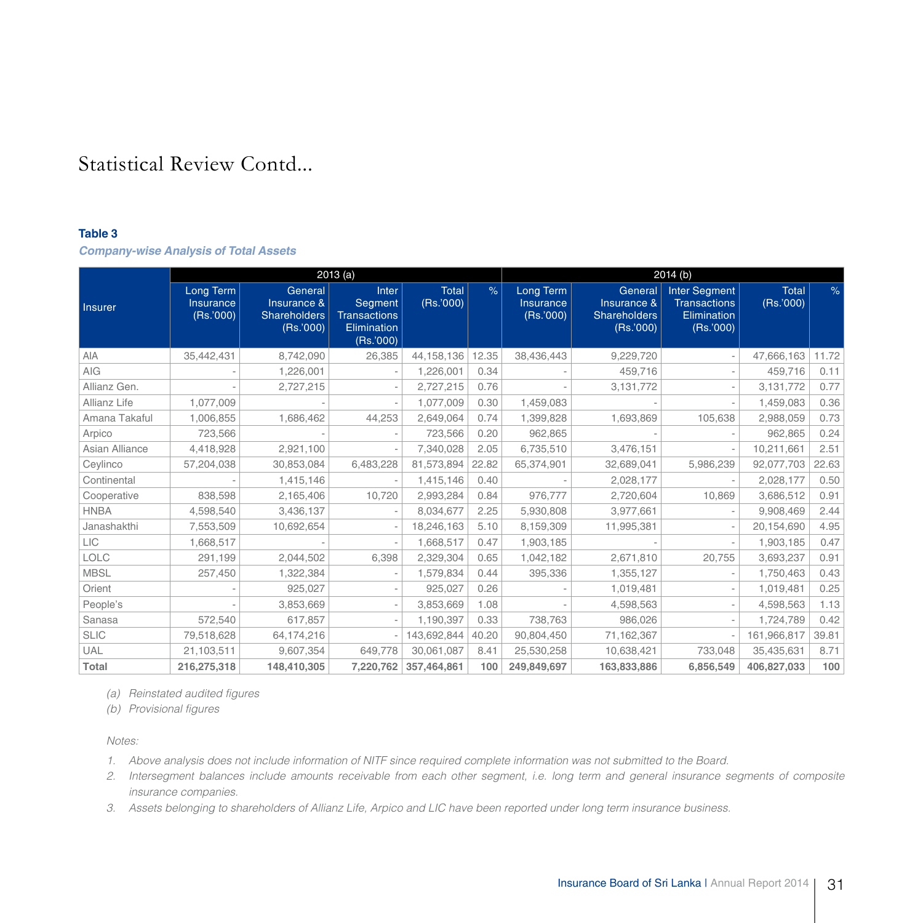#### **Table 3**

**Company-wise Analysis of Total Assets** 

|                |                                    |                                                     | 2013(a)                                                             |                   |       |                                     | 2014 (b)                                            |                                                                         |                   |       |
|----------------|------------------------------------|-----------------------------------------------------|---------------------------------------------------------------------|-------------------|-------|-------------------------------------|-----------------------------------------------------|-------------------------------------------------------------------------|-------------------|-------|
| <b>Insurer</b> | Long Term<br>Insurance<br>(Rs.000) | General<br>Insurance &<br>Shareholders<br>(Rs.'000) | Inter<br>Segment<br><b>Transactions</b><br>Elimination<br>(Rs.'000) | Total<br>(Rs.000) | $\%$  | Long Term<br>Insurance<br>(Rs.'000) | General<br>Insurance &<br>Shareholders<br>(Rs.'000) | <b>Inter Segment</b><br><b>Transactions</b><br>Elimination<br>(Rs.'000) | Total<br>(Rs.000) | $\%$  |
| AIA            | 35,442,431                         | 8,742,090                                           | 26,385                                                              | 44,158,136        | 12.35 | 38,436,443                          | 9,229,720                                           |                                                                         | 47,666,163        | 11.72 |
| AIG            |                                    | 1,226,001                                           |                                                                     | 1,226,001         | 0.34  |                                     | 459,716                                             |                                                                         | 459,716           | 0.11  |
| Allianz Gen.   |                                    | 2,727,215                                           |                                                                     | 2,727,215         | 0.76  |                                     | 3,131,772                                           |                                                                         | 3,131,772         | 0.77  |
| Allianz Life   | 1,077,009                          |                                                     |                                                                     | 1,077,009         | 0.30  | 1,459,083                           |                                                     |                                                                         | 1,459,083         | 0.36  |
| Amana Takaful  | 1,006,855                          | 1,686,462                                           | 44,253                                                              | 2,649,064         | 0.74  | 1,399,828                           | 1,693,869                                           | 105,638                                                                 | 2,988,059         | 0.73  |
| Arpico         | 723,566                            |                                                     |                                                                     | 723,566           | 0.20  | 962,865                             |                                                     |                                                                         | 962,865           | 0.24  |
| Asian Alliance | 4,418,928                          | 2,921,100                                           |                                                                     | 7,340,028         | 2.05  | 6,735,510                           | 3,476,151                                           |                                                                         | 10,211,661        | 2.51  |
| Ceylinco       | 57,204,038                         | 30,853,084                                          | 6,483,228                                                           | 81,573,894        | 22.82 | 65,374,901                          | 32,689,041                                          | 5,986,239                                                               | 92,077,703        | 22.63 |
| Continental    |                                    | 1,415,146                                           |                                                                     | 1,415,146         | 0.40  |                                     | 2,028,177                                           |                                                                         | 2,028,177         | 0.50  |
| Cooperative    | 838,598                            | 2,165,406                                           | 10,720                                                              | 2,993,284         | 0.84  | 976,777                             | 2,720,604                                           | 10.869                                                                  | 3,686,512         | 0.91  |
| <b>HNBA</b>    | 4,598,540                          | 3,436,137                                           |                                                                     | 8,034,677         | 2.25  | 5,930,808                           | 3,977,661                                           |                                                                         | 9,908,469         | 2.44  |
| Janashakthi    | 7,553,509                          | 10,692,654                                          |                                                                     | 18,246,163        | 5.10  | 8,159,309                           | 11,995,381                                          |                                                                         | 20,154,690        | 4.95  |
| LIC            | 1,668,517                          |                                                     |                                                                     | 1,668,517         | 0.47  | 1,903,185                           |                                                     |                                                                         | 1,903,185         | 0.47  |
| LOLC           | 291,199                            | 2,044,502                                           | 6,398                                                               | 2,329,304         | 0.65  | 1,042,182                           | 2,671,810                                           | 20,755                                                                  | 3,693,237         | 0.91  |
| <b>MBSL</b>    | 257,450                            | 1,322,384                                           |                                                                     | 1,579,834         | 0.44  | 395,336                             | 1,355,127                                           |                                                                         | 1,750,463         | 0.43  |
| Orient         |                                    | 925,027                                             |                                                                     | 925,027           | 0.26  |                                     | 1,019,481                                           |                                                                         | 1,019,481         | 0.25  |
| People's       |                                    | 3,853,669                                           |                                                                     | 3,853,669         | 1.08  |                                     | 4,598,563                                           |                                                                         | 4,598,563         | 1.13  |
| Sanasa         | 572,540                            | 617,857                                             |                                                                     | 1,190,397         | 0.33  | 738,763                             | 986,026                                             |                                                                         | 1,724,789         | 0.42  |
| <b>SLIC</b>    | 79,518,628                         | 64,174,216                                          |                                                                     | 143,692,844       | 40.20 | 90,804,450                          | 71,162,367                                          |                                                                         | 161,966,817       | 39.81 |
| UAL            | 21,103,511                         | 9,607,354                                           | 649,778                                                             | 30,061,087        | 8.41  | 25,530,258                          | 10,638,421                                          | 733,048                                                                 | 35,435,631        | 8.71  |
| Total          | 216,275,318                        | 148,410,305                                         | 7,220,762                                                           | 357,464,861       | 100   | 249,849,697                         | 163,833,886                                         | 6,856,549                                                               | 406,827,033       | 100   |

*(a) Reinstated audited figures* 

*(b) Provisional figures*

*Notes:*

*1. Above analysis does not include information of NITF since required complete information was not submitted to the Board.*

*2. Intersegment balances include amounts receivable from each other segment, i.e. long term and general insurance segments of composite insurance companies.*

*3. Assets belonging to shareholders of Allianz Life, Arpico and LIC have been reported under long term insurance business.*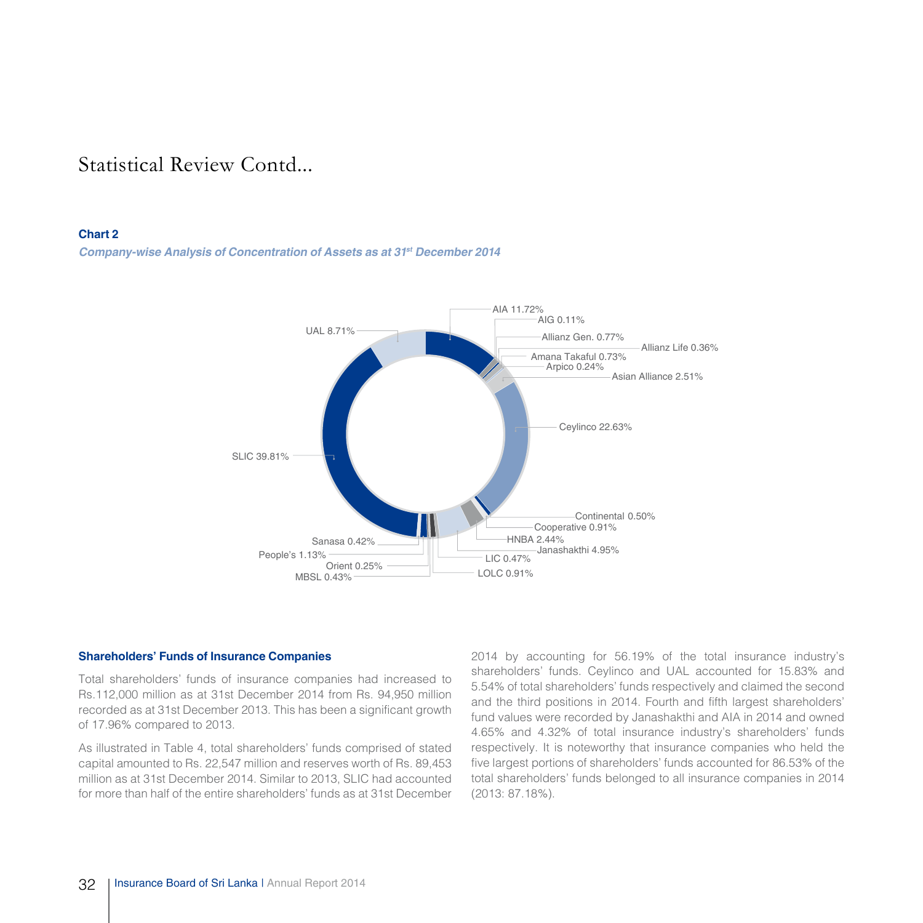#### **Chart 2**

**Company-wise analysis of Concentration of Assets as at 31st December 2014** 



#### **Shareholders' Funds of Insurance Companies**

Total shareholders' funds of insurance companies had increased to Rs.112,000 million as at 31st December 2014 from Rs. 94,950 million recorded as at 31st December 2013. This has been a significant growth of 17.96% compared to 2013.

As illustrated in Table 4, total shareholders' funds comprised of stated capital amounted to Rs. 22,547 million and reserves worth of Rs. 89,453 million as at 31st December 2014. Similar to 2013, SLIC had accounted for more than half of the entire shareholders' funds as at 31st December

2014 by accounting for 56.19% of the total insurance industry's shareholders' funds. Ceylinco and UAL accounted for 15.83% and 5.54% of total shareholders' funds respectively and claimed the second and the third positions in 2014. Fourth and fifth largest shareholders' fund values were recorded by Janashakthi and AIA in 2014 and owned 4.65% and 4.32% of total insurance industry's shareholders' funds respectively. It is noteworthy that insurance companies who held the five largest portions of shareholders' funds accounted for 86.53% of the total shareholders' funds belonged to all insurance companies in 2014 (2013: 87.18%).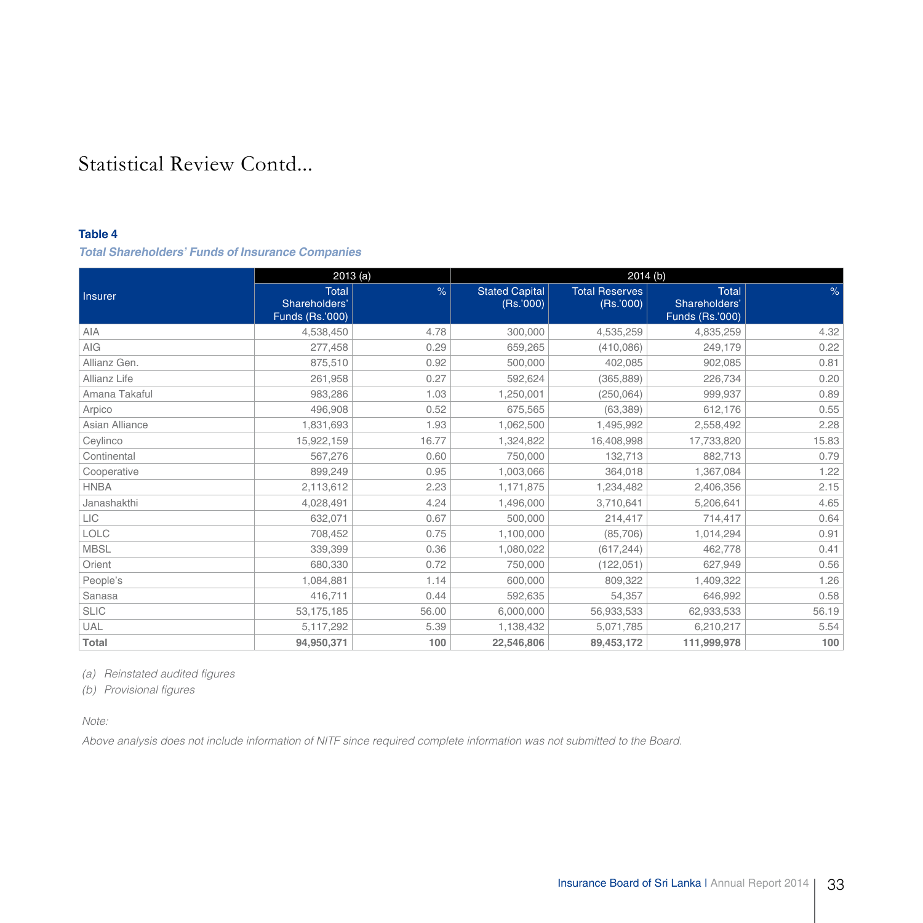#### **Table 4**

#### **Total Shareholders' Funds of Insurance Companies**

|                | 2013(a)                                                 |       |                                   | 2014 (b)                          |                                                  |       |  |  |  |
|----------------|---------------------------------------------------------|-------|-----------------------------------|-----------------------------------|--------------------------------------------------|-------|--|--|--|
| Insurer        | <b>Total</b><br>Shareholders'<br><b>Funds (Rs.'000)</b> | $\%$  | <b>Stated Capital</b><br>(Rs.000) | <b>Total Reserves</b><br>(Rs.000) | Total<br>Shareholders'<br><b>Funds (Rs.'000)</b> | $\%$  |  |  |  |
| <b>AIA</b>     | 4,538,450                                               | 4.78  | 300.000                           | 4,535,259                         | 4,835,259                                        | 4.32  |  |  |  |
| AIG            | 277,458                                                 | 0.29  | 659,265                           | (410,086)                         | 249,179                                          | 0.22  |  |  |  |
| Allianz Gen.   | 875.510                                                 | 0.92  | 500,000                           | 402,085                           | 902,085                                          | 0.81  |  |  |  |
| Allianz Life   | 261,958                                                 | 0.27  | 592,624                           | (365, 889)                        | 226,734                                          | 0.20  |  |  |  |
| Amana Takaful  | 983,286                                                 | 1.03  | 1,250,001                         | (250,064)                         | 999,937                                          | 0.89  |  |  |  |
| Arpico         | 496,908                                                 | 0.52  | 675,565                           | (63, 389)                         | 612,176                                          | 0.55  |  |  |  |
| Asian Alliance | 1,831,693                                               | 1.93  | 1,062,500                         | 1,495,992                         | 2,558,492                                        | 2.28  |  |  |  |
| Ceylinco       | 15,922,159                                              | 16.77 | 1,324,822                         | 16,408,998                        | 17,733,820                                       | 15.83 |  |  |  |
| Continental    | 567.276                                                 | 0.60  | 750,000                           | 132.713                           | 882.713                                          | 0.79  |  |  |  |
| Cooperative    | 899,249                                                 | 0.95  | 1,003,066                         | 364.018                           | 1,367,084                                        | 1.22  |  |  |  |
| <b>HNBA</b>    | 2,113,612                                               | 2.23  | 1,171,875                         | 1,234,482                         | 2,406,356                                        | 2.15  |  |  |  |
| Janashakthi    | 4,028,491                                               | 4.24  | 1,496,000                         | 3,710,641                         | 5,206,641                                        | 4.65  |  |  |  |
| LIC            | 632.071                                                 | 0.67  | 500.000                           | 214,417                           | 714,417                                          | 0.64  |  |  |  |
| LOLC           | 708,452                                                 | 0.75  | 1,100,000                         | (85,706)                          | 1,014,294                                        | 0.91  |  |  |  |
| <b>MBSL</b>    | 339,399                                                 | 0.36  | 1,080,022                         | (617, 244)                        | 462,778                                          | 0.41  |  |  |  |
| Orient         | 680,330                                                 | 0.72  | 750,000                           | (122, 051)                        | 627,949                                          | 0.56  |  |  |  |
| People's       | 1.084.881                                               | 1.14  | 600.000                           | 809.322                           | 1,409,322                                        | 1.26  |  |  |  |
| Sanasa         | 416.711                                                 | 0.44  | 592,635                           | 54,357                            | 646,992                                          | 0.58  |  |  |  |
| <b>SLIC</b>    | 53, 175, 185                                            | 56.00 | 6,000,000                         | 56,933,533                        | 62,933,533                                       | 56.19 |  |  |  |
| UAL            | 5,117,292                                               | 5.39  | 1,138,432                         | 5,071,785                         | 6,210,217                                        | 5.54  |  |  |  |
| Total          | 94,950,371                                              | 100   | 22,546,806                        | 89,453,172                        | 111,999,978                                      | 100   |  |  |  |

*(a) Reinstated audited figures*

*(b) Provisional figures*

*Note:*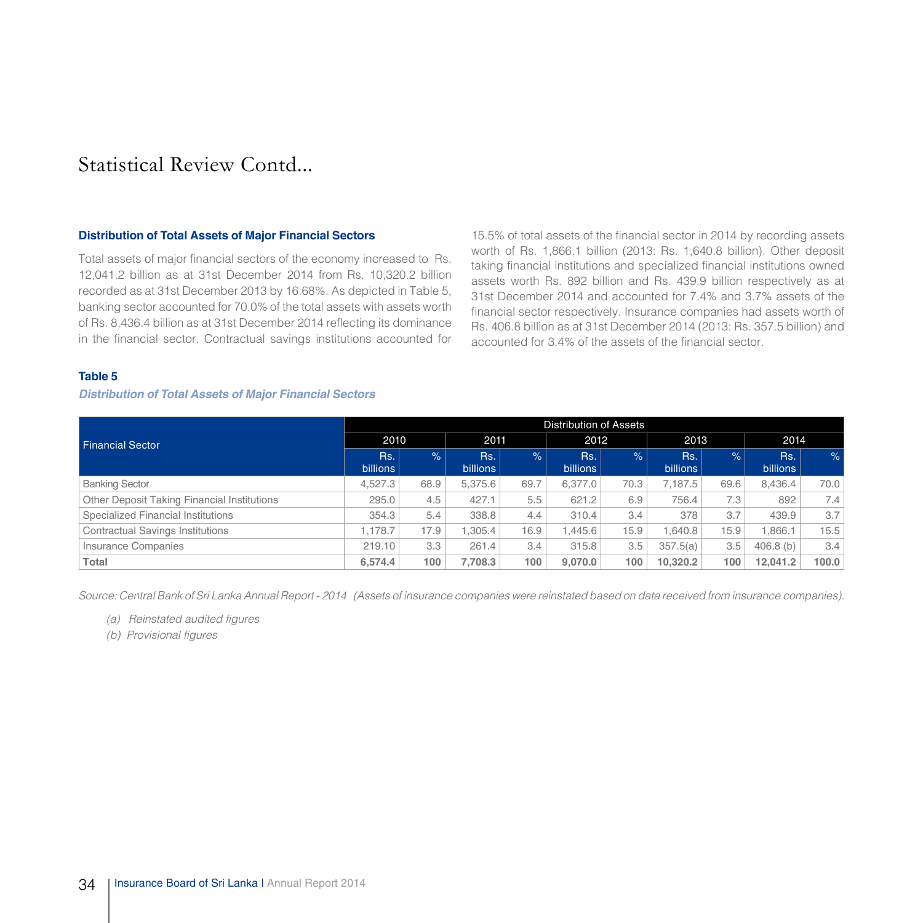#### **Distribution of Total Assets of Major Financial Sectors**

Total assets of major financial sectors of the economy increased to Rs. 12,041.2 billion as at 31st December 2014 from Rs. 10,320.2 billion recorded as at 31st December 2013 by 16.68%. As depicted in Table 5, banking sector accounted for 70.0% of the total assets with assets worth of Rs. 8,436.4 billion as at 31st December 2014 reflecting its dominance in the financial sector. Contractual savings institutions accounted for

15.5% of total assets of the financial sector in 2014 by recording assets worth of Rs. 1,866.1 billion (2013: Rs. 1,640.8 billion). Other deposit taking financial institutions and specialized financial institutions owned assets worth Rs. 892 billion and Rs. 439.9 billion respectively as at 31st December 2014 and accounted for 7.4% and 3.7% assets of the financial sector respectively. Insurance companies had assets worth of Rs. 406.8 billion as at 31st December 2014 (2013: Rs. 357.5 billion) and accounted for 3.4% of the assets of the financial sector.

#### **Table 5**

#### **Distribution of Total Assets of Major Financial Sectors**

|                                             | Distribution of Assets |      |                 |               |                 |               |                 |               |                 |       |
|---------------------------------------------|------------------------|------|-----------------|---------------|-----------------|---------------|-----------------|---------------|-----------------|-------|
| <b>Financial Sector</b>                     | 2010                   |      | 2011            |               | 2012            |               | 2013            |               | 2014            |       |
|                                             | Rs.<br>billions        | $\%$ | Rs.<br>billions | $\frac{9}{6}$ | Rs.<br>billions | $\frac{9}{6}$ | Rs.<br>billions | $\frac{9}{6}$ | Rs.<br>billions | $\%$  |
| <b>Banking Sector</b>                       | 4,527.3                | 68.9 | 5.375.6         | 69.7          | 6.377.0         | 70.3          | 7.187.5         | 69.6          | 8.436.4         | 70.0  |
| Other Deposit Taking Financial Institutions | 295.0                  | 4.5  | 427.1           | 5.5           | 621.2           | 6.9           | 756.4           | 7.3           | 892             | 7.4   |
| Specialized Financial Institutions          | 354.3                  | 5.4  | 338.8           | 4.4           | 310.4           | 3.4           | 378             | 3.7           | 439.9           | 3.7   |
| Contractual Savings Institutions            | 1.178.7                | 17.9 | .305.4          | 16.9          | .445.6          | 15.9          | 8.046.1         | 15.9          | .866.1          | 15.5  |
| Insurance Companies                         | 219.10                 | 3.3  | 261.4           | 3.4           | 315.8           | 3.5           | 357.5(a)        | 3.5           | 406.8(b)        | 3.4   |
| Total                                       | 6.574.4                | 100  | 7.708.3         | 100           | 9.070.0         | 100           | 10.320.2        | 100           | 12.041.2        | 100.0 |

*Source: Central Bank of Sri Lanka Annual Report - 2014 (Assets of insurance companies were reinstated based on data received from insurance companies).*

*(a) Reinstated audited figures* 

*(b) Provisional figures*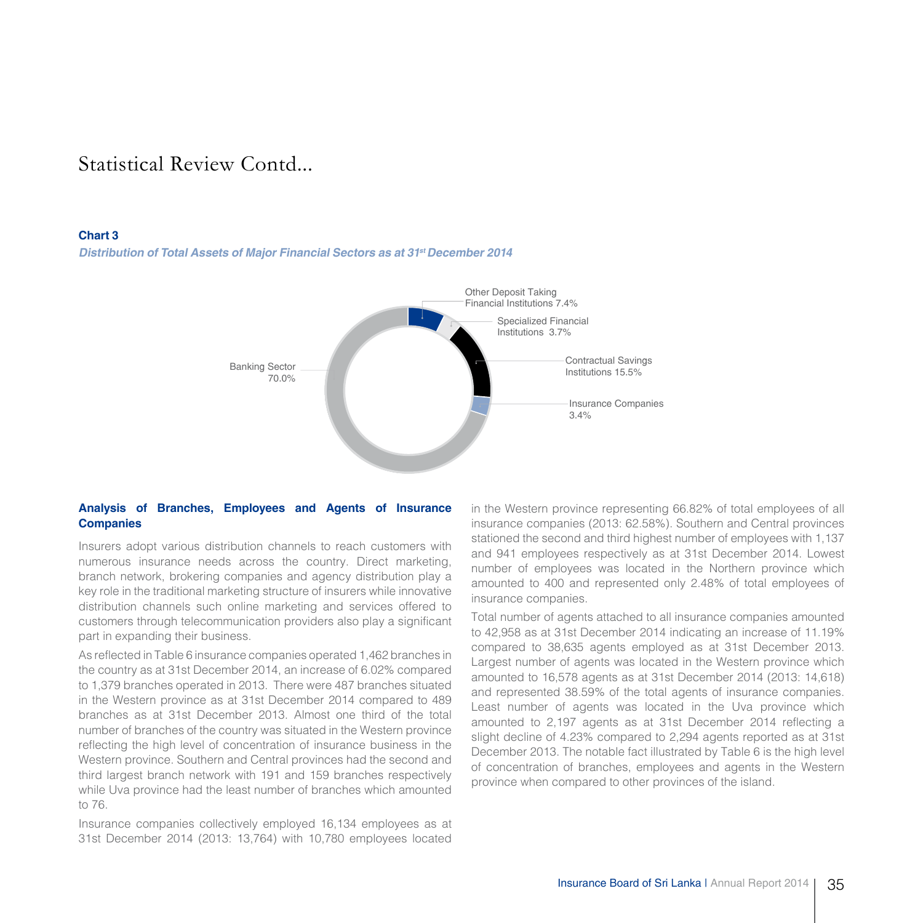#### **Chart 3**

**Distribution of Total Assets of Major Financial Sectors as at 31st December 2014**



#### **Analysis of Branches, Employees and Agents of Insurance Companies**

Insurers adopt various distribution channels to reach customers with numerous insurance needs across the country. Direct marketing, branch network, brokering companies and agency distribution play a key role in the traditional marketing structure of insurers while innovative distribution channels such online marketing and services offered to customers through telecommunication providers also play a significant part in expanding their business.

As reflected in Table 6 insurance companies operated 1,462 branches in the country as at 31st December 2014, an increase of 6.02% compared to 1,379 branches operated in 2013. There were 487 branches situated in the Western province as at 31st December 2014 compared to 489 branches as at 31st December 2013. Almost one third of the total number of branches of the country was situated in the Western province reflecting the high level of concentration of insurance business in the Western province. Southern and Central provinces had the second and third largest branch network with 191 and 159 branches respectively while Uva province had the least number of branches which amounted to 76.

Insurance companies collectively employed 16,134 employees as at 31st December 2014 (2013: 13,764) with 10,780 employees located

in the Western province representing 66.82% of total employees of all insurance companies (2013: 62.58%). Southern and Central provinces stationed the second and third highest number of employees with 1,137 and 941 employees respectively as at 31st December 2014. Lowest number of employees was located in the Northern province which amounted to 400 and represented only 2.48% of total employees of insurance companies.

Total number of agents attached to all insurance companies amounted to 42,958 as at 31st December 2014 indicating an increase of 11.19% compared to 38,635 agents employed as at 31st December 2013. Largest number of agents was located in the Western province which amounted to 16,578 agents as at 31st December 2014 (2013: 14,618) and represented 38.59% of the total agents of insurance companies. Least number of agents was located in the Uva province which amounted to 2,197 agents as at 31st December 2014 reflecting a slight decline of 4.23% compared to 2,294 agents reported as at 31st December 2013. The notable fact illustrated by Table 6 is the high level of concentration of branches, employees and agents in the Western province when compared to other provinces of the island.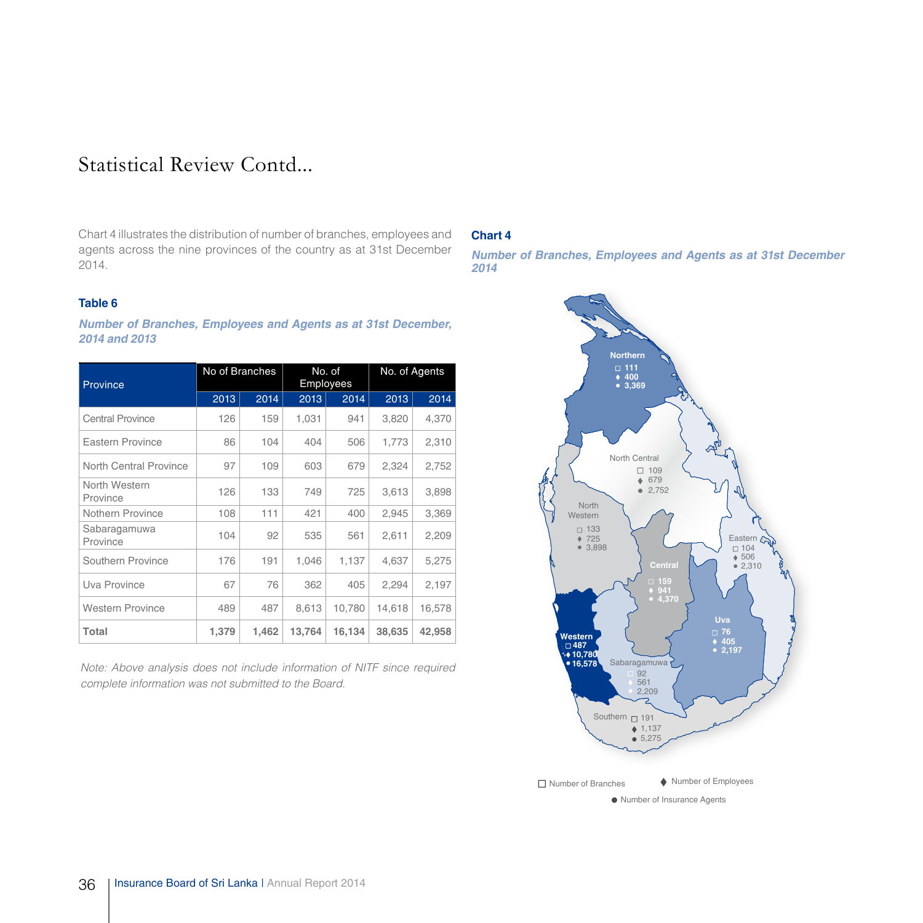Chart 4 illustrates the distribution of number of branches, employees and agents across the nine provinces of the country as at 31st December 2014.

#### **Table 6**

**Number of Branches, Employees and Agents as at 31st December, 2014 and 2013**

| Province                  |       | No of Branches |        | No. of<br>Employees | No. of Agents |        |  |
|---------------------------|-------|----------------|--------|---------------------|---------------|--------|--|
|                           | 2013  | 2014           | 2013   | 2014                | 2013          | 2014   |  |
| <b>Central Province</b>   | 126   | 159            | 1,031  | 941                 | 3,820         | 4,370  |  |
| Eastern Province          | 86    | 104            | 404    | 506                 | 1,773         | 2,310  |  |
| North Central Province    | 97    | 109            | 603    | 679                 | 2,324         | 2,752  |  |
| North Western<br>Province | 126   | 133            | 749    | 725                 | 3,613         | 3,898  |  |
| Nothern Province          | 108   | 111            | 421    | 400                 | 2.945         | 3,369  |  |
| Sabaragamuwa<br>Province  | 104   | 92             | 535    | 561                 | 2,611         | 2,209  |  |
| Southern Province         | 176   | 191            | 1,046  | 1,137               | 4,637         | 5,275  |  |
| Uva Province              | 67    | 76             | 362    | 405                 | 2,294         | 2,197  |  |
| <b>Western Province</b>   | 489   | 487            | 8,613  | 10,780              | 14,618        | 16,578 |  |
| Total                     | 1,379 | 1,462          | 13,764 | 16,134              | 38,635        | 42,958 |  |

*Note: Above analysis does not include information of NITF since required complete information was not submitted to the Board.*

#### **Chart 4**

**Number of Branches, Employees and Agents as at 31st December 2014** 



Number of Insurance Agents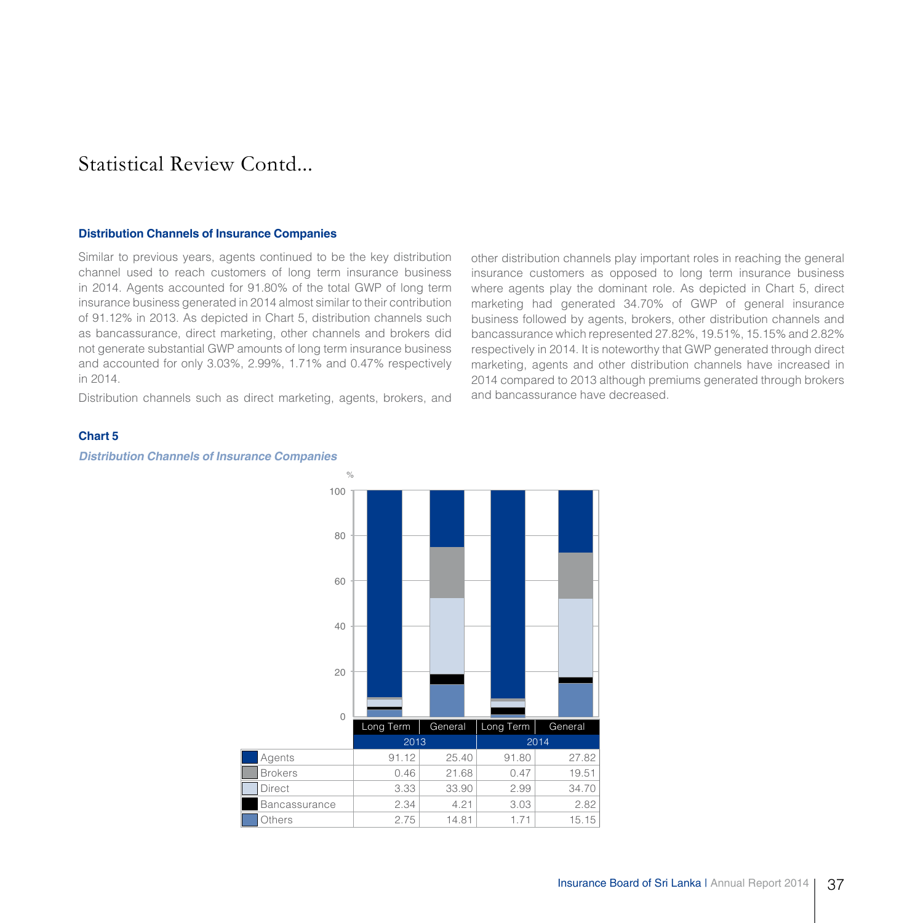#### **Distribution Channels of Insurance Companies**

Similar to previous years, agents continued to be the key distribution channel used to reach customers of long term insurance business in 2014. Agents accounted for 91.80% of the total GWP of long term insurance business generated in 2014 almost similar to their contribution of 91.12% in 2013. As depicted in Chart 5, distribution channels such as bancassurance, direct marketing, other channels and brokers did not generate substantial GWP amounts of long term insurance business and accounted for only 3.03%, 2.99%, 1.71% and 0.47% respectively in 2014.

Distribution channels such as direct marketing, agents, brokers, and

**Chart 5**



other distribution channels play important roles in reaching the general insurance customers as opposed to long term insurance business where agents play the dominant role. As depicted in Chart 5, direct marketing had generated 34.70% of GWP of general insurance business followed by agents, brokers, other distribution channels and bancassurance which represented 27.82%, 19.51%, 15.15% and 2.82% respectively in 2014. It is noteworthy that GWP generated through direct marketing, agents and other distribution channels have increased in 2014 compared to 2013 although premiums generated through brokers and bancassurance have decreased.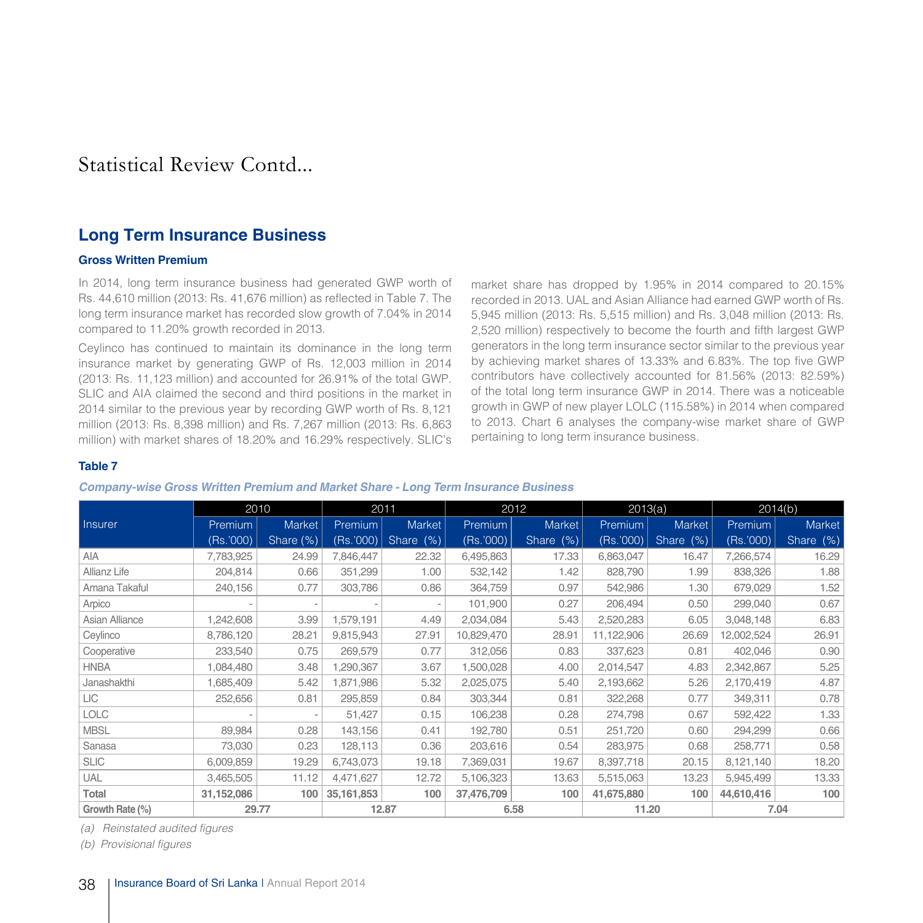### **Long Term Insurance Business**

#### **Gross Written Premium**

In 2014, long term insurance business had generated GWP worth of Rs. 44,610 million (2013: Rs. 41,676 million) as reflected in Table 7. The long term insurance market has recorded slow growth of 7.04% in 2014 compared to 11.20% growth recorded in 2013.

Ceylinco has continued to maintain its dominance in the long term insurance market by generating GWP of Rs. 12,003 million in 2014 (2013: Rs. 11,123 million) and accounted for 26.91% of the total GWP. SLIC and AIA claimed the second and third positions in the market in 2014 similar to the previous year by recording GWP worth of Rs. 8,121 million (2013: Rs. 8,398 million) and Rs. 7,267 million (2013: Rs. 6,863 million) with market shares of 18.20% and 16.29% respectively. SLIC's

market share has dropped by 1.95% in 2014 compared to 20.15% recorded in 2013. UAL and Asian Alliance had earned GWP worth of Rs. 5,945 million (2013: Rs. 5,515 million) and Rs. 3,048 million (2013: Rs. 2,520 million) respectively to become the fourth and fifth largest GWP generators in the long term insurance sector similar to the previous year by achieving market shares of 13.33% and 6.83%. The top five GWP contributors have collectively accounted for 81.56% (2013: 82.59%) of the total long term insurance GWP in 2014. There was a noticeable growth in GWP of new player LOLC (115.58%) in 2014 when compared to 2013. Chart 6 analyses the company-wise market share of GWP pertaining to long term insurance business.

#### **Table 7**

#### **Company-wise Gross Written Premium and Market Share - long term Insurance Business**

|                 | 2010       |           | 2011         |           | 2012       |               | 2013(a)    |           | 2014(b)    |           |
|-----------------|------------|-----------|--------------|-----------|------------|---------------|------------|-----------|------------|-----------|
| <b>Insurer</b>  | Premium    | Market    | Premium      | Market    | Premium    | <b>Market</b> | Premium    | Market    | Premium    | Market    |
|                 | (Rs.'000)  | Share (%) | (Rs.000)     | Share (%) | (Rs.'000)  | Share (%)     | (Rs.'000)  | Share (%) | (Rs.'000)  | Share (%) |
| AIA             | 7,783,925  | 24.99     | 7,846,447    | 22.32     | 6,495,863  | 17.33         | 6,863,047  | 16.47     | 7,266,574  | 16.29     |
| Allianz Life    | 204,814    | 0.66      | 351,299      | 1.00      | 532,142    | 1.42          | 828,790    | 1.99      | 838,326    | 1.88      |
| Amana Takaful   | 240,156    | 0.77      | 303,786      | 0.86      | 364,759    | 0.97          | 542,986    | 1.30      | 679,029    | 1.52      |
| Arpico          |            |           |              |           | 101,900    | 0.27          | 206,494    | 0.50      | 299,040    | 0.67      |
| Asian Alliance  | 1,242,608  | 3.99      | 1,579,191    | 4.49      | 2,034,084  | 5.43          | 2,520,283  | 6.05      | 3,048,148  | 6.83      |
| Ceylinco        | 8,786,120  | 28.21     | 9,815,943    | 27.91     | 10,829,470 | 28.91         | 11,122,906 | 26.69     | 12,002,524 | 26.91     |
| Cooperative     | 233,540    | 0.75      | 269,579      | 0.77      | 312,056    | 0.83          | 337,623    | 0.81      | 402,046    | 0.90      |
| <b>HNBA</b>     | 1,084,480  | 3.48      | 1,290,367    | 3.67      | 1,500,028  | 4.00          | 2,014,547  | 4.83      | 2,342,867  | 5.25      |
| Janashakthi     | 1,685,409  | 5.42      | 1,871,986    | 5.32      | 2,025,075  | 5.40          | 2,193,662  | 5.26      | 2,170,419  | 4.87      |
| LIC             | 252,656    | 0.81      | 295,859      | 0.84      | 303,344    | 0.81          | 322,268    | 0.77      | 349,311    | 0.78      |
| LOLC            |            |           | 51,427       | 0.15      | 106,238    | 0.28          | 274,798    | 0.67      | 592,422    | 1.33      |
| <b>MBSL</b>     | 89,984     | 0.28      | 143,156      | 0.41      | 192,780    | 0.51          | 251,720    | 0.60      | 294,299    | 0.66      |
| Sanasa          | 73,030     | 0.23      | 128,113      | 0.36      | 203,616    | 0.54          | 283,975    | 0.68      | 258,771    | 0.58      |
| <b>SLIC</b>     | 6,009,859  | 19.29     | 6,743,073    | 19.18     | 7,369,031  | 19.67         | 8,397,718  | 20.15     | 8,121,140  | 18.20     |
| UAL             | 3,465,505  | 11.12     | 4,471,627    | 12.72     | 5,106,323  | 13.63         | 5,515,063  | 13.23     | 5,945,499  | 13.33     |
| Total           | 31,152,086 | 100       | 35, 161, 853 | 100       | 37,476,709 | 100           | 41,675,880 | 100       | 44,610,416 | 100       |
| Growth Rate (%) | 29.77      |           |              | 12.87     |            | 6.58          | 11.20      |           |            | 7.04      |

*(a) Reinstated audited figures* 

*(b) Provisional figures*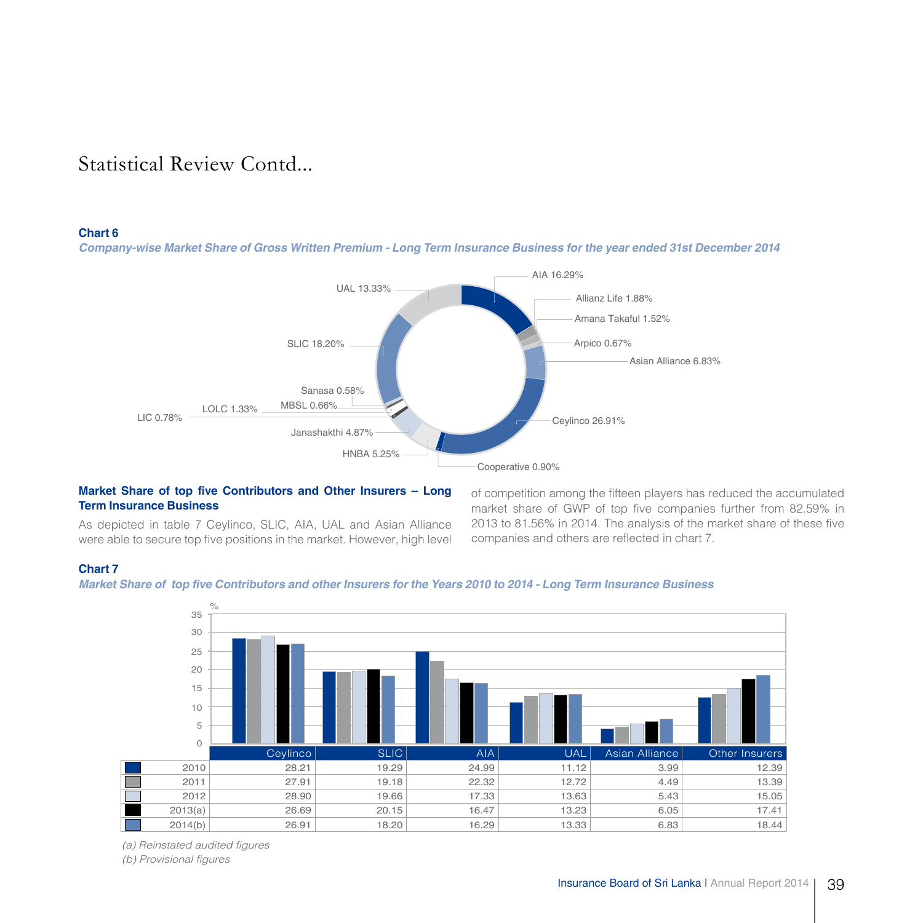#### **Chart 6**

**Company-wise Market Share of Gross Written Premium - Long Term Insurance Business for the year ended 31st December 2014**



#### **Market Share of top five Contributors and Other Insurers – Long Term Insurance Business**

As depicted in table 7 Ceylinco, SLIC, AIA, UAL and Asian Alliance were able to secure top five positions in the market. However, high level

of competition among the fifteen players has reduced the accumulated market share of GWP of top five companies further from 82.59% in 2013 to 81.56% in 2014. The analysis of the market share of these five companies and others are reflected in chart 7.

#### **Chart 7**

**Market Share of top five Contributors and other Insurers for the Years 2010 to 2014 - Long Term Insurance Business** 



*(a) Reinstated audited figures* 

*(b) Provisional figures*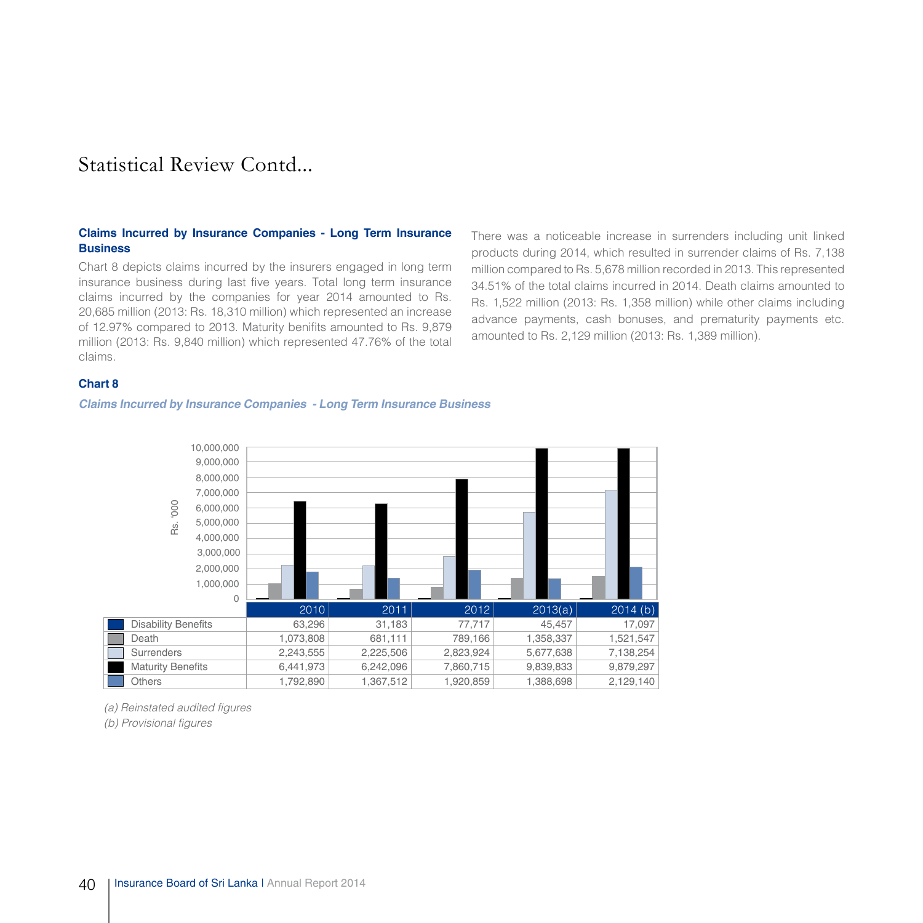#### **Claims Incurred by Insurance Companies - Long Term Insurance Business**

Chart 8 depicts claims incurred by the insurers engaged in long term insurance business during last five years. Total long term insurance claims incurred by the companies for year 2014 amounted to Rs. 20,685 million (2013: Rs. 18,310 million) which represented an increase of 12.97% compared to 2013. Maturity benifits amounted to Rs. 9,879 million (2013: Rs. 9,840 million) which represented 47.76% of the total claims.

There was a noticeable increase in surrenders including unit linked products during 2014, which resulted in surrender claims of Rs. 7,138 million compared to Rs. 5,678 million recorded in 2013. This represented 34.51% of the total claims incurred in 2014. Death claims amounted to Rs. 1,522 million (2013: Rs. 1,358 million) while other claims including advance payments, cash bonuses, and prematurity payments etc. amounted to Rs. 2,129 million (2013: Rs. 1,389 million).

#### **Chart 8**

#### **Claims Incurred by Insurance Companies - Long Term Insurance Business**



*(a) Reinstated audited figures*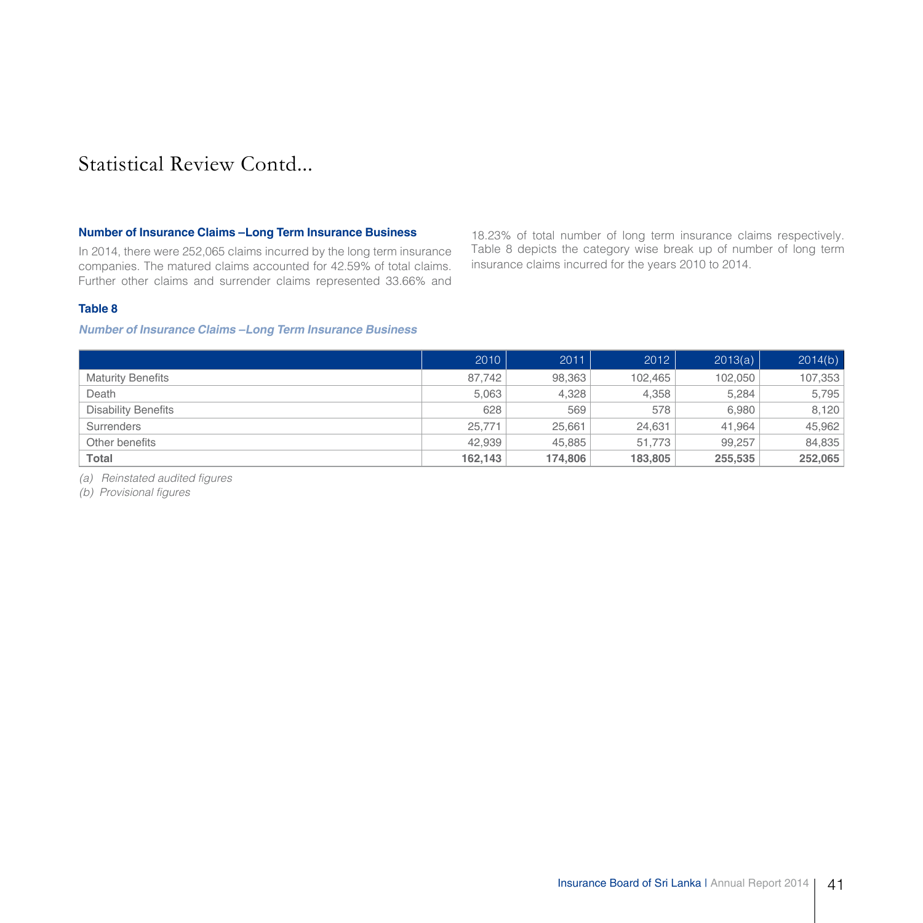#### **Number of Insurance Claims –Long Term Insurance Business**

In 2014, there were 252,065 claims incurred by the long term insurance companies. The matured claims accounted for 42.59% of total claims. Further other claims and surrender claims represented 33.66% and 18.23% of total number of long term insurance claims respectively. Table 8 depicts the category wise break up of number of long term insurance claims incurred for the years 2010 to 2014.

#### **Table 8**

#### **Number of Insurance Claims –Long Term Insurance Business**

|                            | 2010    | 2011    | 2012    | 2013(a) | 2014(b) |
|----------------------------|---------|---------|---------|---------|---------|
| <b>Maturity Benefits</b>   | 87.742  | 98,363  | 102.465 | 102.050 | 107,353 |
| Death                      | 5,063   | 4,328   | 4,358   | 5,284   | 5,795   |
| <b>Disability Benefits</b> | 628     | 569     | 578     | 6.980   | 8,120   |
| Surrenders                 | 25.771  | 25.661  | 24.631  | 41.964  | 45,962  |
| Other benefits             | 42.939  | 45,885  | 51.773  | 99.257  | 84,835  |
| Total                      | 162,143 | 174,806 | 183,805 | 255,535 | 252,065 |

*(a) Reinstated audited figures* 

*(b) Provisional figures*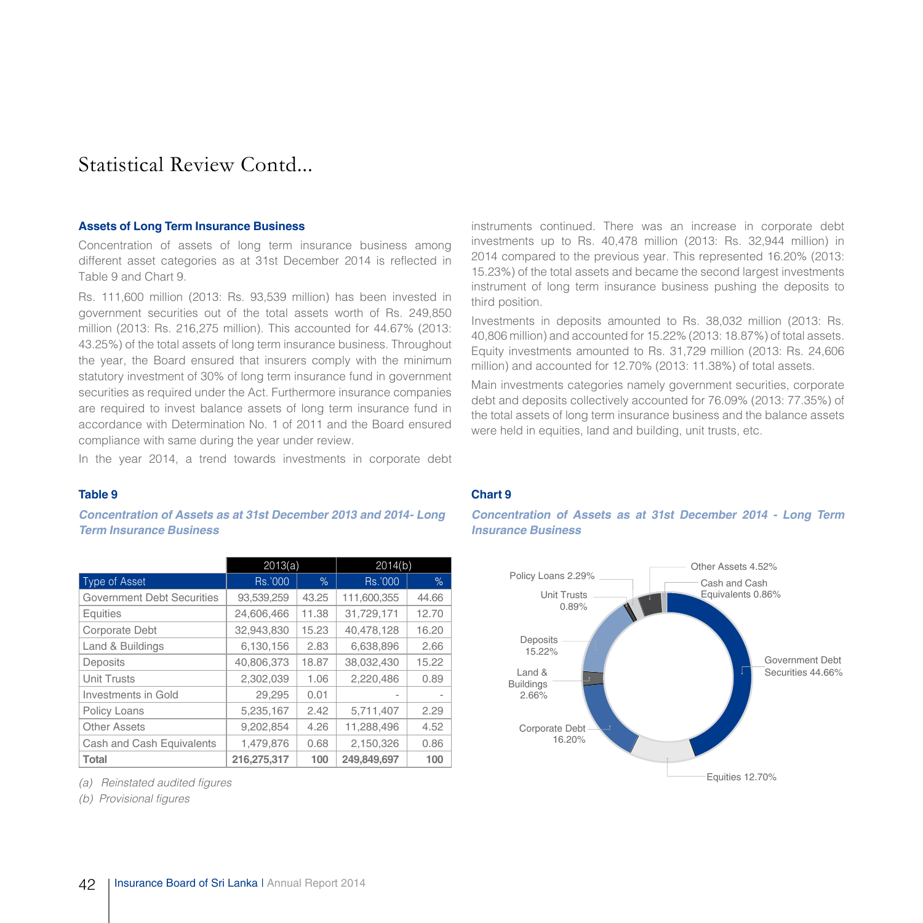#### **Assets of Long Term Insurance Business**

Concentration of assets of long term insurance business among different asset categories as at 31st December 2014 is reflected in Table 9 and Chart 9.

Rs. 111,600 million (2013: Rs. 93,539 million) has been invested in government securities out of the total assets worth of Rs. 249,850 million (2013: Rs. 216,275 million). This accounted for 44.67% (2013: 43.25%) of the total assets of long term insurance business. Throughout the year, the Board ensured that insurers comply with the minimum statutory investment of 30% of long term insurance fund in government securities as required under the Act. Furthermore insurance companies are required to invest balance assets of long term insurance fund in accordance with Determination No. 1 of 2011 and the Board ensured compliance with same during the year under review.

In the year 2014, a trend towards investments in corporate debt

**Concentration of Assets as at 31st December 2013 and 2014- Long Term Insurance Business**

|                            | 2013(a)     |       | 2014(b)     |       |
|----------------------------|-------------|-------|-------------|-------|
| Type of Asset              | Rs.'000     | %     | Rs.'000     | $\%$  |
| Government Debt Securities | 93,539,259  | 43.25 | 111,600,355 | 44.66 |
| <b>Equities</b>            | 24,606,466  | 11.38 | 31,729,171  | 12.70 |
| Corporate Debt             | 32,943,830  | 15.23 | 40,478,128  | 16.20 |
| Land & Buildings           | 6,130,156   | 2.83  | 6,638,896   | 2.66  |
| Deposits                   | 40,806,373  | 18.87 | 38,032,430  | 15.22 |
| Unit Trusts                | 2.302.039   | 1.06  | 2,220,486   | 0.89  |
| Investments in Gold        | 29,295      | 0.01  |             |       |
| Policy Loans               | 5,235,167   | 2.42  | 5,711,407   | 2.29  |
| <b>Other Assets</b>        | 9.202.854   | 4.26  | 11,288,496  | 4.52  |
| Cash and Cash Equivalents  | 1,479,876   | 0.68  | 2,150,326   | 0.86  |
| Total                      | 216.275.317 | 100   | 249.849.697 | 100   |

*(a) Reinstated audited figures* 

*(b) Provisional figures*

instruments continued. There was an increase in corporate debt investments up to Rs. 40,478 million (2013: Rs. 32,944 million) in 2014 compared to the previous year. This represented 16.20% (2013: 15.23%) of the total assets and became the second largest investments instrument of long term insurance business pushing the deposits to third position.

Investments in deposits amounted to Rs. 38,032 million (2013: Rs. 40,806 million) and accounted for 15.22% (2013: 18.87%) of total assets. Equity investments amounted to Rs. 31,729 million (2013: Rs. 24,606 million) and accounted for 12.70% (2013: 11.38%) of total assets.

Main investments categories namely government securities, corporate debt and deposits collectively accounted for 76.09% (2013: 77.35%) of the total assets of long term insurance business and the balance assets were held in equities, land and building, unit trusts, etc.

#### **Table 9 Chart 9**

**Concentration of Assets as at 31st December 2014 - Long Term Insurance Business**

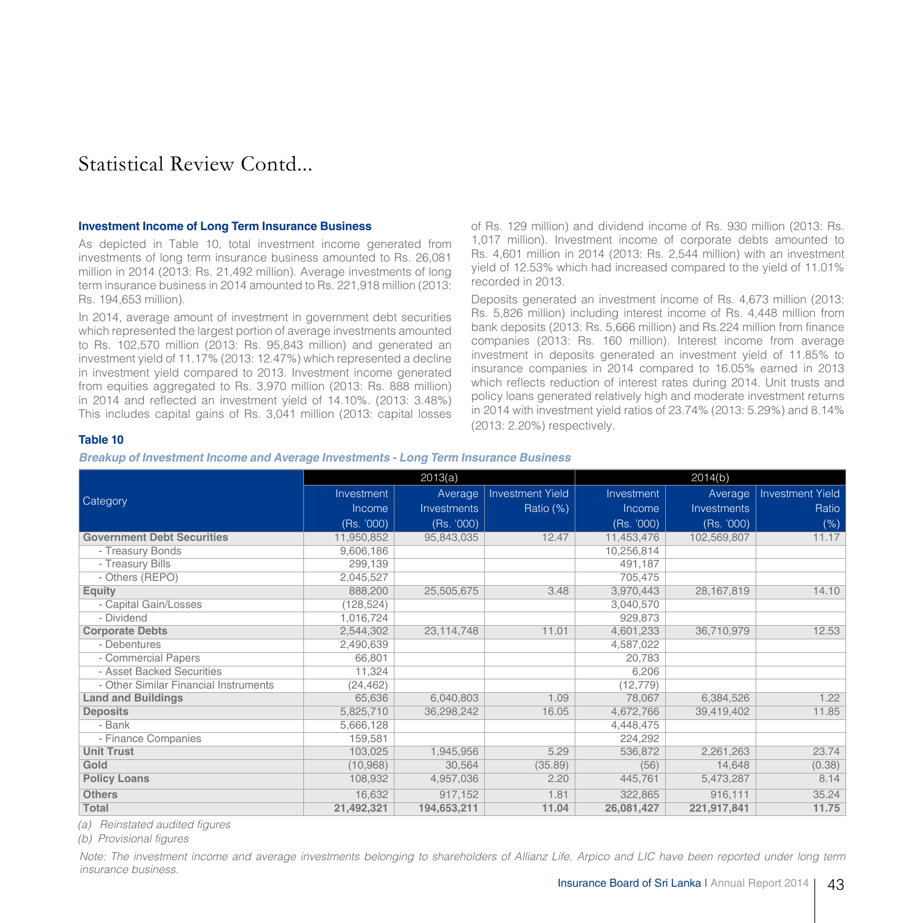#### **Investment Income of Long Term Insurance Business**

As depicted in Table 10, total investment income generated from investments of long term insurance business amounted to Rs. 26,081 million in 2014 (2013: Rs. 21,492 million). Average investments of long term insurance business in 2014 amounted to Rs. 221,918 million (2013: Rs. 194,653 million).

In 2014, average amount of investment in government debt securities which represented the largest portion of average investments amounted to Rs. 102,570 million (2013: Rs. 95,843 million) and generated an investment yield of 11.17% (2013: 12.47%) which represented a decline in investment yield compared to 2013. Investment income generated from equities aggregated to Rs. 3,970 million (2013: Rs. 888 million) in 2014 and reflected an investment yield of 14.10%. (2013: 3.48%) This includes capital gains of Rs. 3,041 million (2013: capital losses of Rs. 129 million) and dividend income of Rs. 930 million (2013: Rs. 1,017 million). Investment income of corporate debts amounted to Rs. 4,601 million in 2014 (2013: Rs. 2,544 million) with an investment yield of 12.53% which had increased compared to the yield of 11.01% recorded in 2013.

Deposits generated an investment income of Rs. 4,673 million (2013: Rs. 5,826 million) including interest income of Rs. 4,448 million from bank deposits (2013: Rs. 5,666 million) and Rs.224 million from finance companies (2013: Rs. 160 million). Interest income from average investment in deposits generated an investment yield of 11.85% to insurance companies in 2014 compared to 16.05% earned in 2013 which reflects reduction of interest rates during 2014. Unit trusts and policy loans generated relatively high and moderate investment returns in 2014 with investment yield ratios of 23.74% (2013: 5.29%) and 8.14% (2013: 2.20%) respectively.

#### **Table 10**

**Breakup of Investment Income and Average Investments - Long Term Insurance Business** 

|                                       |            | 2013(a)      |                         | 2014(b)    |              |                         |  |
|---------------------------------------|------------|--------------|-------------------------|------------|--------------|-------------------------|--|
|                                       | Investment | Average      | <b>Investment Yield</b> | Investment | Average      | <b>Investment Yield</b> |  |
| <b>Category</b>                       | Income     | Investments  | Ratio (%)               | Income     | Investments  | Ratio                   |  |
|                                       | (Rs. '000) | (Rs. '000)   |                         | (Rs. '000) | (Rs. '000)   | $(\%)$                  |  |
| <b>Government Debt Securities</b>     | 11,950,852 | 95,843,035   | 12.47                   | 11,453,476 | 102,569,807  | 11.17                   |  |
| - Treasury Bonds                      | 9,606,186  |              |                         | 10,256,814 |              |                         |  |
| - Treasury Bills                      | 299,139    |              |                         | 491,187    |              |                         |  |
| - Others (REPO)                       | 2,045,527  |              |                         | 705,475    |              |                         |  |
| <b>Equity</b>                         | 888,200    | 25,505,675   | 3.48                    | 3,970,443  | 28, 167, 819 | 14.10                   |  |
| - Capital Gain/Losses                 | (128, 524) |              |                         | 3,040,570  |              |                         |  |
| - Dividend                            | 1,016,724  |              |                         | 929,873    |              |                         |  |
| <b>Corporate Debts</b>                | 2,544,302  | 23, 114, 748 | 11.01                   | 4,601,233  | 36,710,979   | 12.53                   |  |
| - Debentures                          | 2,490,639  |              |                         | 4,587,022  |              |                         |  |
| - Commercial Papers                   | 66,801     |              |                         | 20,783     |              |                         |  |
| - Asset Backed Securities             | 11,324     |              |                         | 6,206      |              |                         |  |
| - Other Similar Financial Instruments | (24, 462)  |              |                         | (12, 779)  |              |                         |  |
| <b>Land and Buildings</b>             | 65,636     | 6,040,803    | 1.09                    | 78,067     | 6,384,526    | 1.22                    |  |
| <b>Deposits</b>                       | 5,825,710  | 36,298,242   | 16.05                   | 4,672,766  | 39,419,402   | 11.85                   |  |
| - Bank                                | 5,666,128  |              |                         | 4,448,475  |              |                         |  |
| - Finance Companies                   | 159,581    |              |                         | 224,292    |              |                         |  |
| <b>Unit Trust</b>                     | 103,025    | 1,945,956    | 5.29                    | 536,872    | 2,261,263    | 23.74                   |  |
| Gold                                  | (10, 968)  | 30,564       | (35.89)                 | (56)       | 14,648       | (0.38)                  |  |
| <b>Policy Loans</b>                   | 108,932    | 4,957,036    | 2.20                    | 445,761    | 5,473,287    | 8.14                    |  |
| <b>Others</b>                         | 16,632     | 917,152      | 1.81                    | 322,865    | 916,111      | 35.24                   |  |
| <b>Total</b>                          | 21,492,321 | 194,653,211  | 11.04                   | 26,081,427 | 221,917,841  | 11.75                   |  |

*(a) Reinstated audited figures* 

*(b) Provisional figures*

*Note: The investment income and average investments belonging to shareholders of Allianz Life, Arpico and LIC have been reported under long term insurance business.*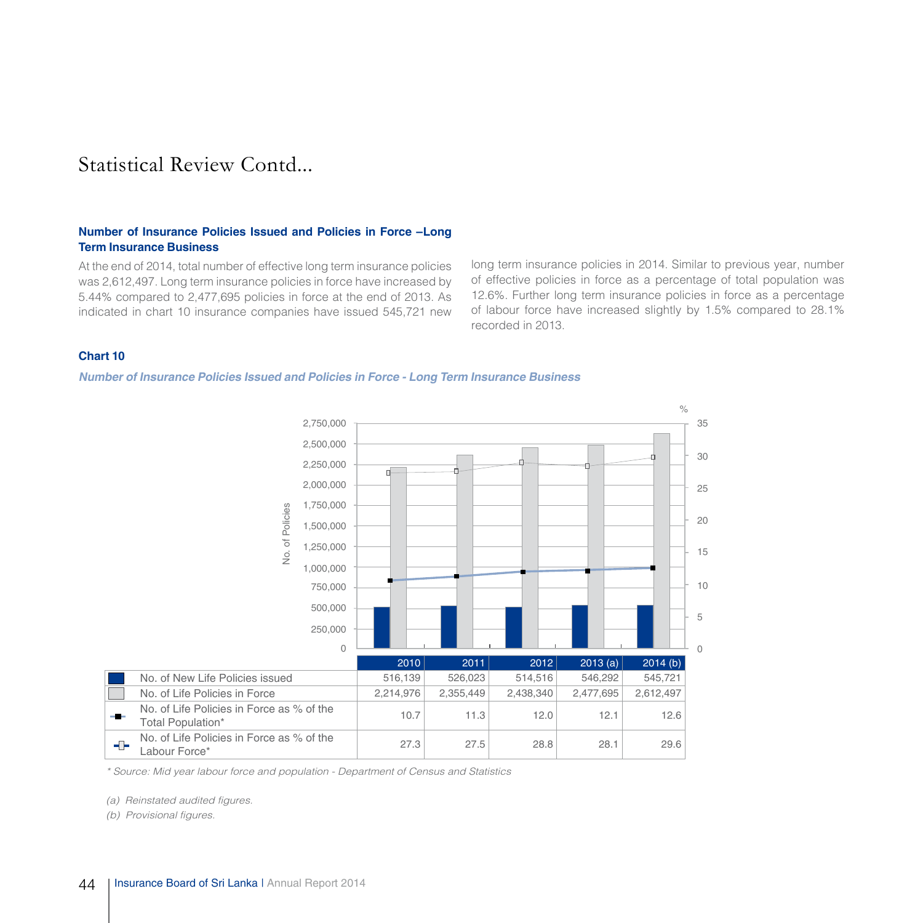#### **Number of Insurance Policies Issued and Policies in Force –Long Term Insurance Business**

At the end of 2014, total number of effective long term insurance policies was 2,612,497. Long term insurance policies in force have increased by 5.44% compared to 2,477,695 policies in force at the end of 2013. As indicated in chart 10 insurance companies have issued 545,721 new

long term insurance policies in 2014. Similar to previous year, number of effective policies in force as a percentage of total population was 12.6%. Further long term insurance policies in force as a percentage of labour force have increased slightly by 1.5% compared to 28.1% recorded in 2013.

#### **Chart 10**

**Number of Insurance Policies Issued and Policies in Force - Long Term Insurance Business**



*\* Source: Mid year labour force and population - Department of Census and Statistics*

*(a) Reinstated audited figures.*

*(b) Provisional figures.*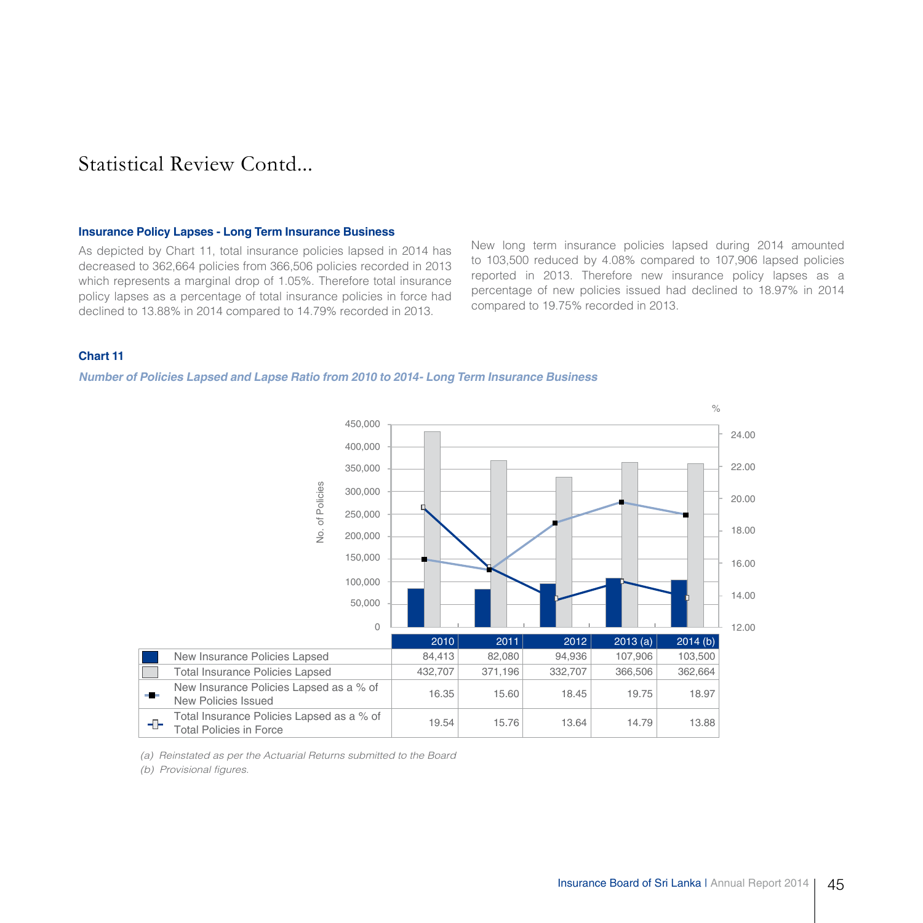#### **Insurance Policy Lapses - Long Term Insurance Business**

As depicted by Chart 11, total insurance policies lapsed in 2014 has decreased to 362,664 policies from 366,506 policies recorded in 2013 which represents a marginal drop of 1.05%. Therefore total insurance policy lapses as a percentage of total insurance policies in force had declined to 13.88% in 2014 compared to 14.79% recorded in 2013.

New long term insurance policies lapsed during 2014 amounted to 103,500 reduced by 4.08% compared to 107,906 lapsed policies reported in 2013. Therefore new insurance policy lapses as a percentage of new policies issued had declined to 18.97% in 2014 compared to 19.75% recorded in 2013.

#### **Chart 11**

#### **Number of Policies Lapsed and Lapse Ratio from 2010 to 2014- Long Term Insurance Business**



*(a) Reinstated as per the Actuarial Returns submitted to the Board*

*(b) Provisional figures.*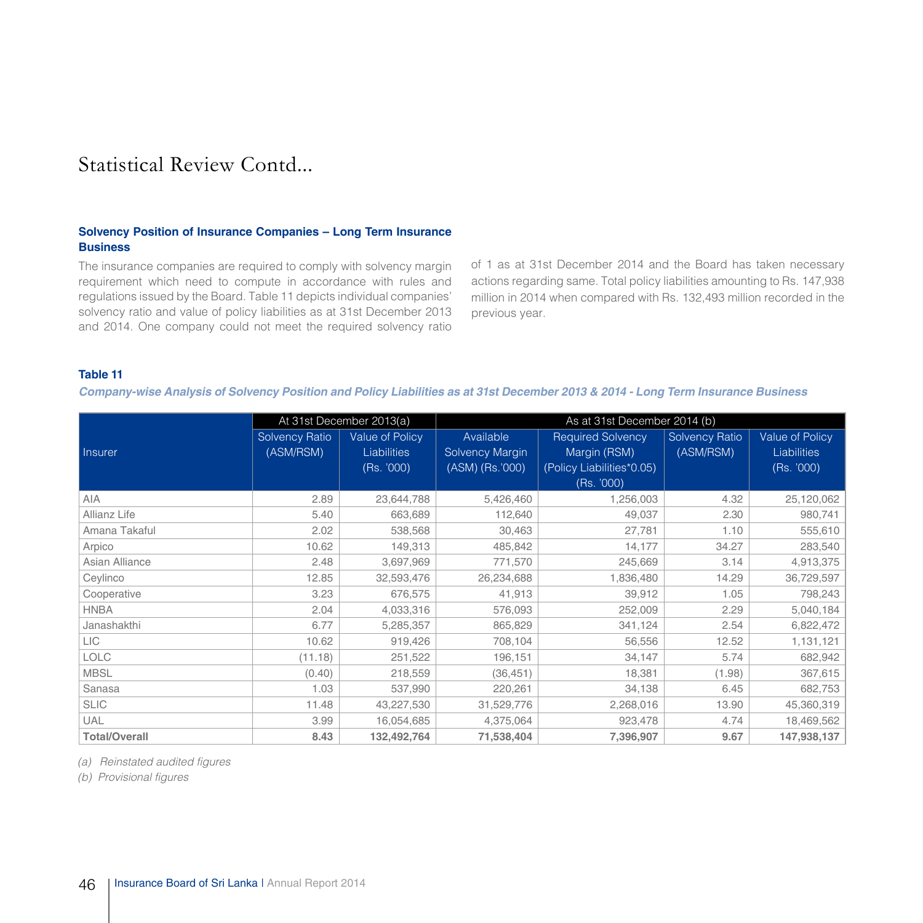#### **Solvency Position of Insurance Companies – Long Term Insurance Business**

The insurance companies are required to comply with solvency margin requirement which need to compute in accordance with rules and regulations issued by the Board. Table 11 depicts individual companies' solvency ratio and value of policy liabilities as at 31st December 2013 and 2014. One company could not meet the required solvency ratio

of 1 as at 31st December 2014 and the Board has taken necessary actions regarding same. Total policy liabilities amounting to Rs. 147,938 million in 2014 when compared with Rs. 132,493 million recorded in the previous year.

#### **Table 11**

**Company-wise Analysis of Solvency Position and Policy Liabilities as at 31st December 2013 & 2014 - Long Term Insurance Business** 

|                      |                                    | At 31st December 2013(a)                            |                                                 | As at 31st December 2014 (b)                                                        |                                    |                                                            |
|----------------------|------------------------------------|-----------------------------------------------------|-------------------------------------------------|-------------------------------------------------------------------------------------|------------------------------------|------------------------------------------------------------|
| Insurer              | <b>Solvency Ratio</b><br>(ASM/RSM) | Value of Policy<br><b>Liabilities</b><br>(Rs. '000) | Available<br>Solvency Margin<br>(ASM) (Rs.'000) | <b>Required Solvency</b><br>Margin (RSM)<br>(Policy Liabilities*0.05)<br>(Rs. '000) | <b>Solvency Ratio</b><br>(ASM/RSM) | <b>Value of Policy</b><br><b>Liabilities</b><br>(Rs. '000) |
| AIA                  | 2.89                               | 23,644,788                                          | 5,426,460                                       | 1,256,003                                                                           | 4.32                               | 25,120,062                                                 |
| Allianz Life         | 5.40                               | 663,689                                             | 112,640                                         | 49,037                                                                              | 2.30                               | 980,741                                                    |
| Amana Takaful        | 2.02                               | 538,568                                             | 30,463                                          | 27,781                                                                              | 1.10                               | 555,610                                                    |
| Arpico               | 10.62                              | 149,313                                             | 485,842                                         | 14,177                                                                              | 34.27                              | 283,540                                                    |
| Asian Alliance       | 2.48                               | 3,697,969                                           | 771,570                                         | 245,669                                                                             | 3.14                               | 4,913,375                                                  |
| Ceylinco             | 12.85                              | 32,593,476                                          | 26,234,688                                      | 1,836,480                                                                           | 14.29                              | 36,729,597                                                 |
| Cooperative          | 3.23                               | 676,575                                             | 41,913                                          | 39,912                                                                              | 1.05                               | 798,243                                                    |
| <b>HNBA</b>          | 2.04                               | 4,033,316                                           | 576,093                                         | 252,009                                                                             | 2.29                               | 5,040,184                                                  |
| Janashakthi          | 6.77                               | 5,285,357                                           | 865,829                                         | 341,124                                                                             | 2.54                               | 6,822,472                                                  |
| LIC.                 | 10.62                              | 919,426                                             | 708,104                                         | 56,556                                                                              | 12.52                              | 1,131,121                                                  |
| <b>LOLC</b>          | (11.18)                            | 251,522                                             | 196,151                                         | 34,147                                                                              | 5.74                               | 682,942                                                    |
| <b>MBSL</b>          | (0.40)                             | 218,559                                             | (36, 451)                                       | 18,381                                                                              | (1.98)                             | 367,615                                                    |
| Sanasa               | 1.03                               | 537,990                                             | 220,261                                         | 34,138                                                                              | 6.45                               | 682,753                                                    |
| <b>SLIC</b>          | 11.48                              | 43,227,530                                          | 31,529,776                                      | 2,268,016                                                                           | 13.90                              | 45,360,319                                                 |
| UAL                  | 3.99                               | 16,054,685                                          | 4,375,064                                       | 923,478                                                                             | 4.74                               | 18,469,562                                                 |
| <b>Total/Overall</b> | 8.43                               | 132,492,764                                         | 71,538,404                                      | 7,396,907                                                                           | 9.67                               | 147,938,137                                                |

*(a) Reinstated audited figures* 

*(b) Provisional figures*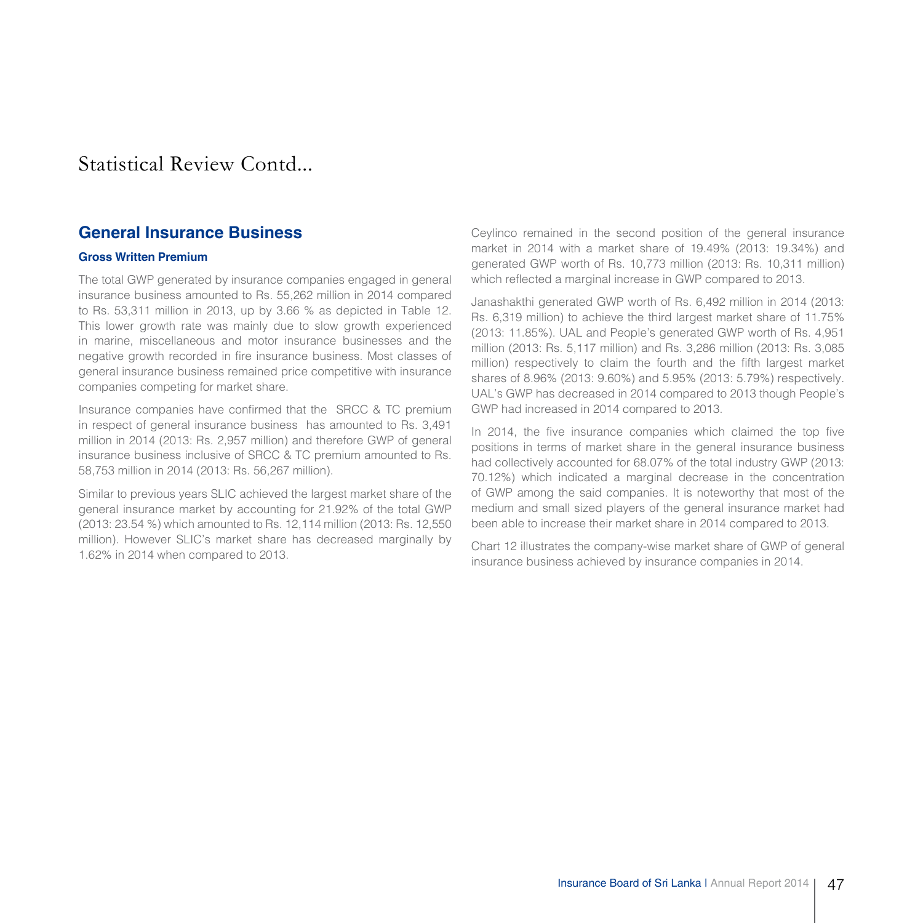### **General Insurance Business**

#### **Gross Written Premium**

The total GWP generated by insurance companies engaged in general insurance business amounted to Rs. 55,262 million in 2014 compared to Rs. 53,311 million in 2013, up by 3.66 % as depicted in Table 12. This lower growth rate was mainly due to slow growth experienced in marine, miscellaneous and motor insurance businesses and the negative growth recorded in fire insurance business. Most classes of general insurance business remained price competitive with insurance companies competing for market share.

Insurance companies have confirmed that the SRCC & TC premium in respect of general insurance business has amounted to Rs. 3,491 million in 2014 (2013: Rs. 2,957 million) and therefore GWP of general insurance business inclusive of SRCC & TC premium amounted to Rs. 58,753 million in 2014 (2013: Rs. 56,267 million).

Similar to previous years SLIC achieved the largest market share of the general insurance market by accounting for 21.92% of the total GWP (2013: 23.54 %) which amounted to Rs. 12,114 million (2013: Rs. 12,550 million). However SLIC's market share has decreased marginally by 1.62% in 2014 when compared to 2013.

Ceylinco remained in the second position of the general insurance market in 2014 with a market share of 19.49% (2013: 19.34%) and generated GWP worth of Rs. 10,773 million (2013: Rs. 10,311 million) which reflected a marginal increase in GWP compared to 2013.

Janashakthi generated GWP worth of Rs. 6,492 million in 2014 (2013: Rs. 6,319 million) to achieve the third largest market share of 11.75% (2013: 11.85%). UAL and People's generated GWP worth of Rs. 4,951 million (2013: Rs. 5,117 million) and Rs. 3,286 million (2013: Rs. 3,085 million) respectively to claim the fourth and the fifth largest market shares of 8.96% (2013: 9.60%) and 5.95% (2013: 5.79%) respectively. UAL's GWP has decreased in 2014 compared to 2013 though People's GWP had increased in 2014 compared to 2013.

In 2014, the five insurance companies which claimed the top five positions in terms of market share in the general insurance business had collectively accounted for 68.07% of the total industry GWP (2013: 70.12%) which indicated a marginal decrease in the concentration of GWP among the said companies. It is noteworthy that most of the medium and small sized players of the general insurance market had been able to increase their market share in 2014 compared to 2013.

Chart 12 illustrates the company-wise market share of GWP of general insurance business achieved by insurance companies in 2014.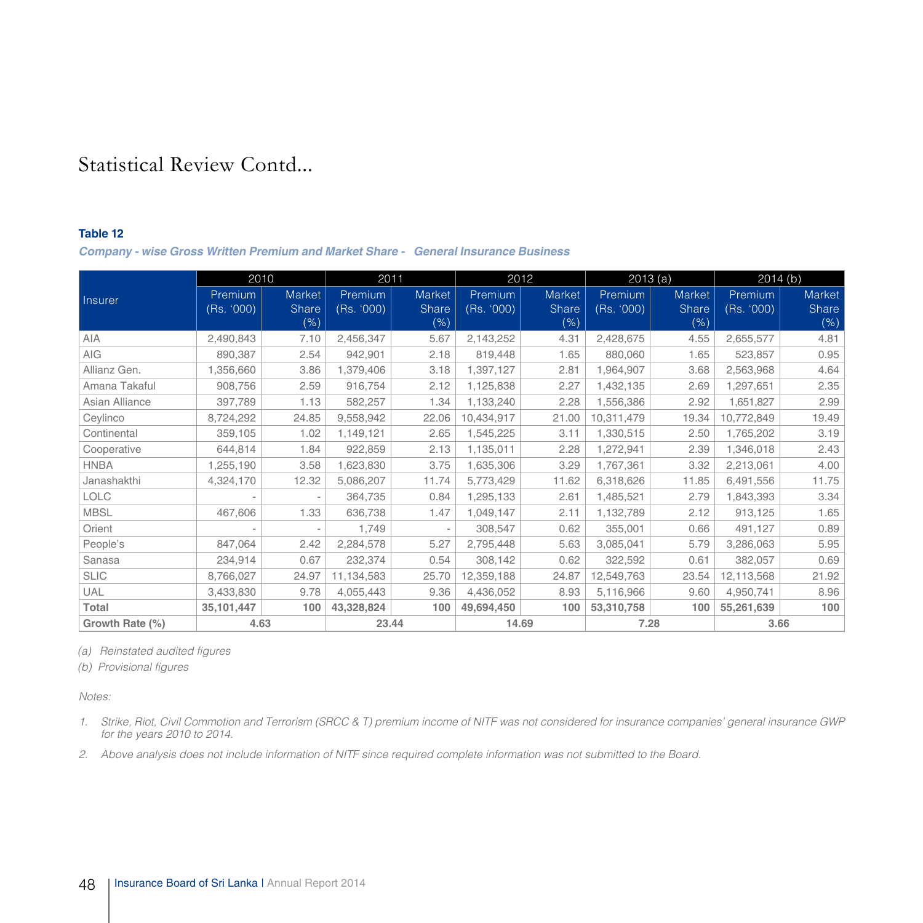#### **Table 12**

#### **Company - wise Gross Written Premium and Market Share - General Insurance Business**

|                 | 2010       |        | 2011       |              | 2012       |         | 2013(a)    |        | 2014(b)    |        |
|-----------------|------------|--------|------------|--------------|------------|---------|------------|--------|------------|--------|
| Insurer         | Premium    | Market | Premium    | Market       | Premium    | Market  | Premium    | Market | Premium    | Market |
|                 | (Rs. '000) | Share  | (Rs. '000) | <b>Share</b> | (Rs. '000) | Share   | (Rs. '000) | Share  | (Rs. '000) | Share  |
|                 |            | (%)    |            | $(\% )$      |            | $(\% )$ |            | (%)    |            | (% )   |
| AIA             | 2,490,843  | 7.10   | 2,456,347  | 5.67         | 2,143,252  | 4.31    | 2,428,675  | 4.55   | 2,655,577  | 4.81   |
| AIG             | 890,387    | 2.54   | 942,901    | 2.18         | 819,448    | 1.65    | 880,060    | 1.65   | 523,857    | 0.95   |
| Allianz Gen.    | 1,356,660  | 3.86   | 1,379,406  | 3.18         | 1,397,127  | 2.81    | 1,964,907  | 3.68   | 2,563,968  | 4.64   |
| Amana Takaful   | 908,756    | 2.59   | 916,754    | 2.12         | 1,125,838  | 2.27    | 1,432,135  | 2.69   | 1,297,651  | 2.35   |
| Asian Alliance  | 397,789    | 1.13   | 582,257    | 1.34         | 1,133,240  | 2.28    | 1,556,386  | 2.92   | 1,651,827  | 2.99   |
| Ceylinco        | 8,724,292  | 24.85  | 9,558,942  | 22.06        | 10,434,917 | 21.00   | 10,311,479 | 19.34  | 10,772,849 | 19.49  |
| Continental     | 359,105    | 1.02   | 1,149,121  | 2.65         | 1,545,225  | 3.11    | 1,330,515  | 2.50   | 1,765,202  | 3.19   |
| Cooperative     | 644,814    | 1.84   | 922,859    | 2.13         | 1,135,011  | 2.28    | 1,272,941  | 2.39   | 1,346,018  | 2.43   |
| <b>HNBA</b>     | 1,255,190  | 3.58   | 1,623,830  | 3.75         | 1,635,306  | 3.29    | 1,767,361  | 3.32   | 2,213,061  | 4.00   |
| Janashakthi     | 4,324,170  | 12.32  | 5,086,207  | 11.74        | 5,773,429  | 11.62   | 6,318,626  | 11.85  | 6,491,556  | 11.75  |
| <b>LOLC</b>     |            |        | 364,735    | 0.84         | 1,295,133  | 2.61    | 1,485,521  | 2.79   | 1,843,393  | 3.34   |
| <b>MBSL</b>     | 467,606    | 1.33   | 636,738    | 1.47         | 1,049,147  | 2.11    | 1,132,789  | 2.12   | 913,125    | 1.65   |
| Orient          |            |        | 1,749      |              | 308,547    | 0.62    | 355,001    | 0.66   | 491,127    | 0.89   |
| People's        | 847,064    | 2.42   | 2,284,578  | 5.27         | 2,795,448  | 5.63    | 3,085,041  | 5.79   | 3,286,063  | 5.95   |
| Sanasa          | 234,914    | 0.67   | 232,374    | 0.54         | 308,142    | 0.62    | 322,592    | 0.61   | 382,057    | 0.69   |
| <b>SLIC</b>     | 8,766,027  | 24.97  | 11,134,583 | 25.70        | 12,359,188 | 24.87   | 12,549,763 | 23.54  | 12,113,568 | 21.92  |
| UAL             | 3,433,830  | 9.78   | 4,055,443  | 9.36         | 4,436,052  | 8.93    | 5,116,966  | 9.60   | 4,950,741  | 8.96   |
| Total           | 35,101,447 | 100    | 43,328,824 | 100          | 49,694,450 | 100     | 53,310,758 | 100    | 55,261,639 | 100    |
| Growth Rate (%) | 4.63       |        | 23.44      |              | 14.69      |         | 7.28       |        | 3.66       |        |

*(a) Reinstated audited figures* 

*(b) Provisional figures*

*Notes:*

*1. Strike, Riot, Civil Commotion and Terrorism (SRCC & T) premium income of NITF was not considered for insurance companies' general insurance GWP for the years 2010 to 2014.*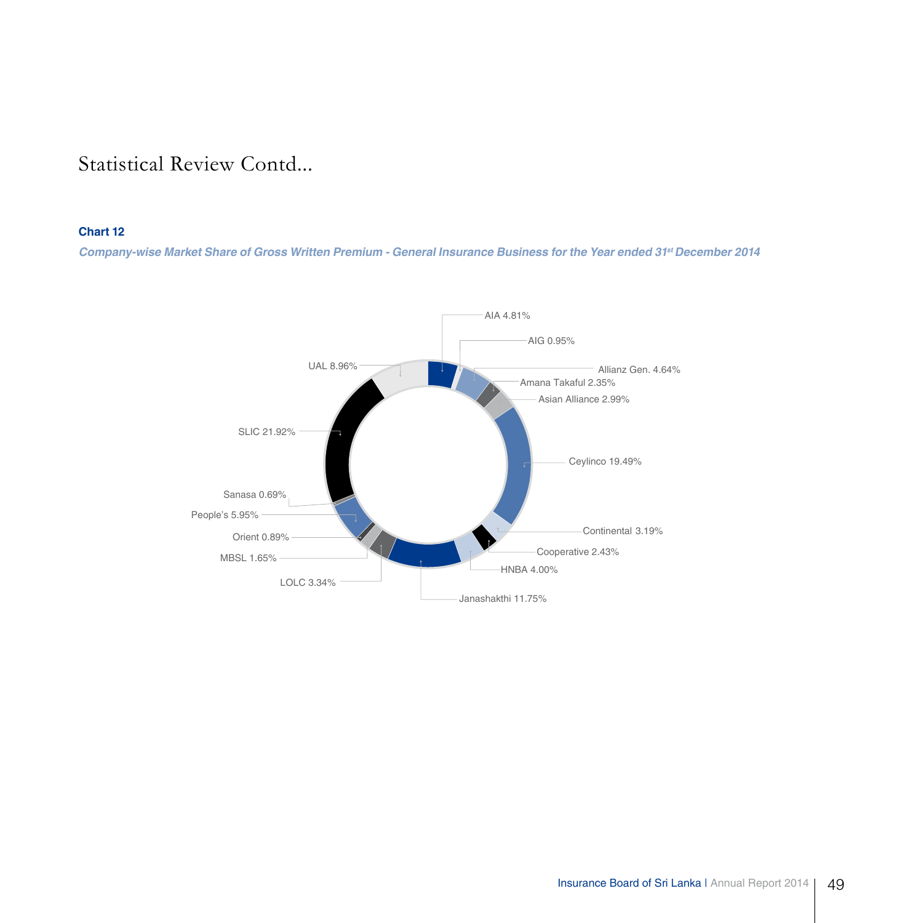#### **Chart 12**

**Company-wise Market Share of Gross Written Premium - General Insurance Business for the Year ended 31st December 2014**

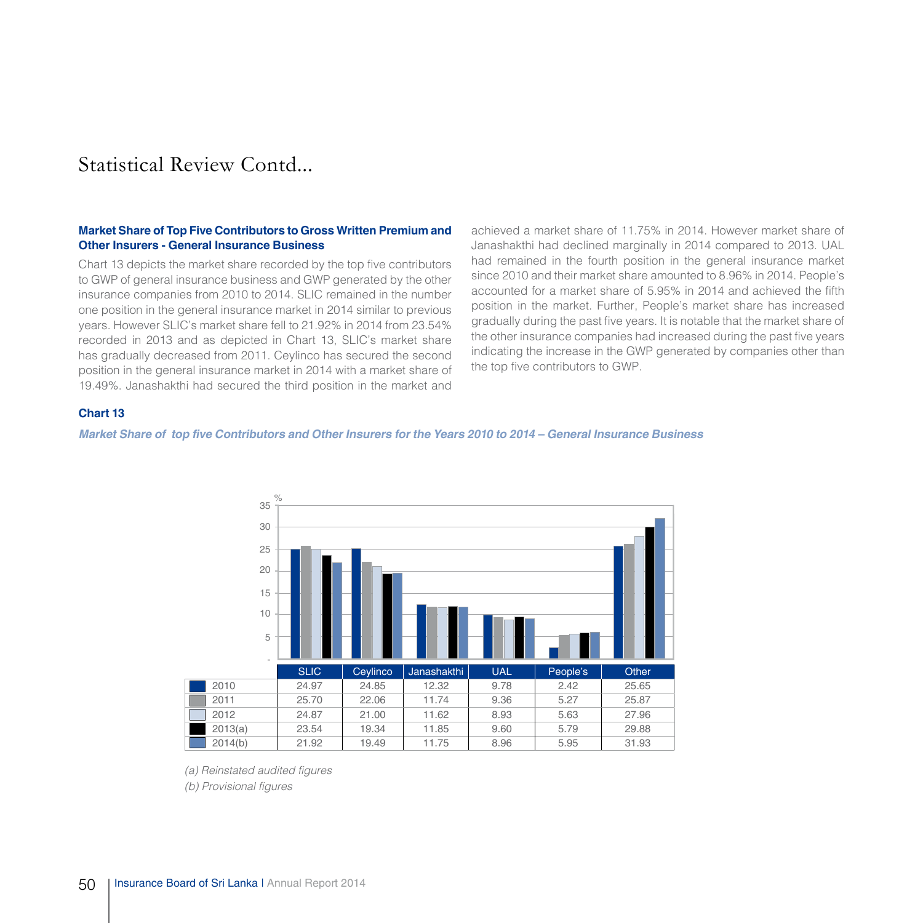#### **Market Share of Top Five Contributors to Gross Written Premium and Other Insurers - General Insurance Business**

Chart 13 depicts the market share recorded by the top five contributors to GWP of general insurance business and GWP generated by the other insurance companies from 2010 to 2014. SLIC remained in the number one position in the general insurance market in 2014 similar to previous years. However SLIC's market share fell to 21.92% in 2014 from 23.54% recorded in 2013 and as depicted in Chart 13, SLIC's market share has gradually decreased from 2011. Ceylinco has secured the second position in the general insurance market in 2014 with a market share of 19.49%. Janashakthi had secured the third position in the market and

achieved a market share of 11.75% in 2014. However market share of Janashakthi had declined marginally in 2014 compared to 2013. UAL had remained in the fourth position in the general insurance market since 2010 and their market share amounted to 8.96% in 2014. People's accounted for a market share of 5.95% in 2014 and achieved the fifth position in the market. Further, People's market share has increased gradually during the past five years. It is notable that the market share of the other insurance companies had increased during the past five years indicating the increase in the GWP generated by companies other than the top five contributors to GWP.

#### **Chart 13**

#### **Market Share of top five Contributors and Other Insurers for the Years 2010 to 2014 – General Insurance Business**



*(a) Reinstated audited figures*

*(b) Provisional figures*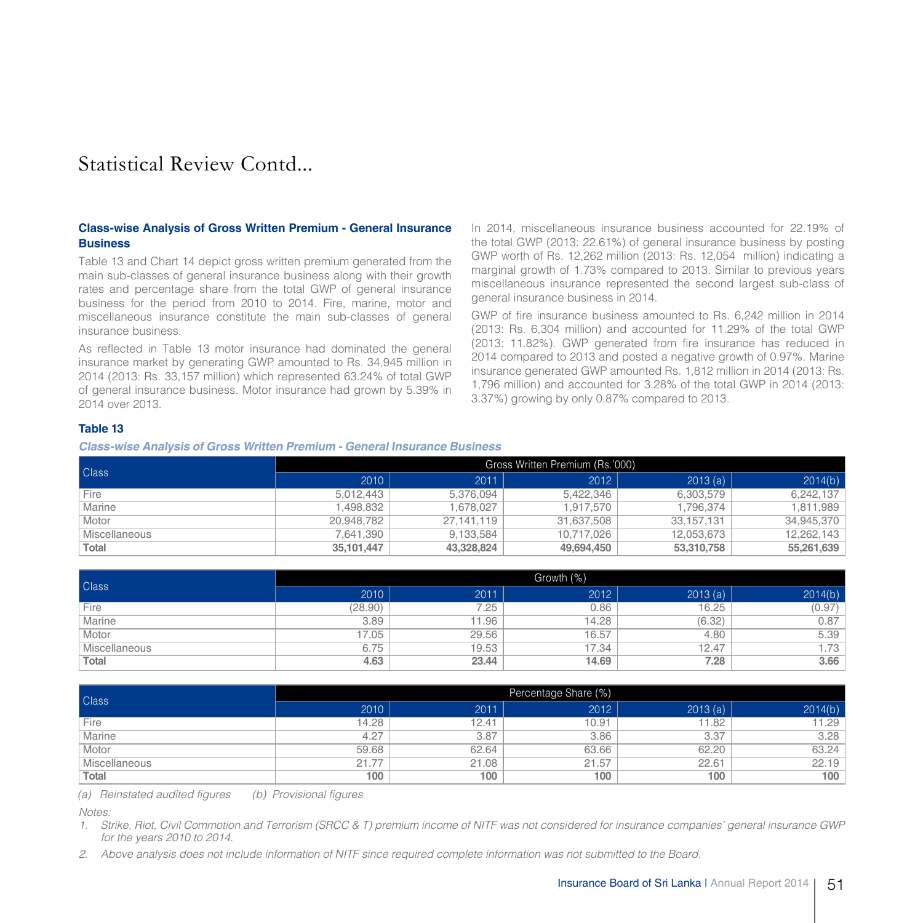#### **Class-wise Analysis of Gross Written Premium - General Insurance Business**

Table 13 and Chart 14 depict gross written premium generated from the main sub-classes of general insurance business along with their growth rates and percentage share from the total GWP of general insurance business for the period from 2010 to 2014. fire, marine, motor and miscellaneous insurance constitute the main sub-classes of general insurance business.

As reflected in Table 13 motor insurance had dominated the general insurance market by generating GWP amounted to Rs. 34,945 million in 2014 (2013: Rs. 33,157 million) which represented 63.24% of total GWP of general insurance business. Motor insurance had grown by 5.39% in 2014 over 2013.

In 2014, miscellaneous insurance business accounted for 22.19% of the total GWP (2013: 22.61%) of general insurance business by posting GWP worth of Rs. 12,262 million (2013: Rs. 12,054 million) indicating a marginal growth of 1.73% compared to 2013. Similar to previous years miscellaneous insurance represented the second largest sub-class of general insurance business in 2014.

GWP of fire insurance business amounted to Rs. 6,242 million in 2014 (2013: Rs. 6,304 million) and accounted for 11.29% of the total GWP (2013: 11.82%). GWP generated from fire insurance has reduced in 2014 compared to 2013 and posted a negative growth of 0.97%. Marine insurance generated GWP amounted Rs. 1,812 million in 2014 (2013: Rs. 1,796 million) and accounted for 3.28% of the total GWP in 2014 (2013: 3.37%) growing by only 0.87% compared to 2013.

#### **Table 13**

#### **Class-wise Analysis of Gross Written Premium - General Insurance Business**

| <b>Class</b>  | Gross Written Premium (Rs.'000) |            |            |              |            |  |
|---------------|---------------------------------|------------|------------|--------------|------------|--|
|               | 2010                            | 2011       | 2012       | 2013(a)      | 2014(b)    |  |
| Fire          | 5.012.443                       | 5.376.094  | 5.422.346  | 6.303.579    | 6,242,137  |  |
| Marine        | 1.498.832                       | 1.678.027  | 1.917.570  | 1.796.374    | 1,811,989  |  |
| Motor         | 20.948.782                      | 27.141.119 | 31.637.508 | 33, 157, 131 | 34,945,370 |  |
| Miscellaneous | 7,641,390                       | 9.133.584  | 10.717.026 | 12,053,673   | 12,262,143 |  |
| Total         | 35,101,447                      | 43,328,824 | 49,694,450 | 53,310,758   | 55,261,639 |  |

| <b>Class</b>         | Growth (%) |       |       |         |         |  |  |
|----------------------|------------|-------|-------|---------|---------|--|--|
|                      | 2010       | 2011  | 2012  | 2013(a) | 2014(b) |  |  |
| Fire                 | (28.90)    | 7.25  | 0.86  | 16.25   | (0.97)  |  |  |
| Marine               | 3.89       | 1.96  | 14.28 | (6.32)  | 0.87    |  |  |
| Motor                | 17.05      | 29.56 | 16.57 | 4.80    | 5.39    |  |  |
| <b>Miscellaneous</b> | 6.75       | 19.53 | 17.34 | 12.47   | 1.73    |  |  |
| Total                | 4.63       | 23.44 | 14.69 | 7.28    | 3.66    |  |  |

|                      | Percentage Share (%) |       |       |         |         |  |
|----------------------|----------------------|-------|-------|---------|---------|--|
| <b>Class</b>         | 2010                 | 2011  | 2012  | 2013(a) | 2014(b) |  |
| Fire                 | 14.28                | 12.41 | 10.91 | 11.82   | 11.29   |  |
| Marine               | 4.27                 | 3.87  | 3.86  | 3.37    | 3.28    |  |
| Motor                | 59.68                | 62.64 | 63.66 | 62.20   | 63.24   |  |
| <b>Miscellaneous</b> | 21.77                | 21.08 | 21.57 | 22.61   | 22.19   |  |
| Total                | 100                  | 100   | 100   | 100     | 100     |  |

*(a) Reinstated audited figures (b) Provisional figures*

*Notes:*

*1. Strike, Riot, Civil Commotion and Terrorism (SRCC & T) premium income of NITF was not considered for insurance companies' general insurance GWP for the years 2010 to 2014.*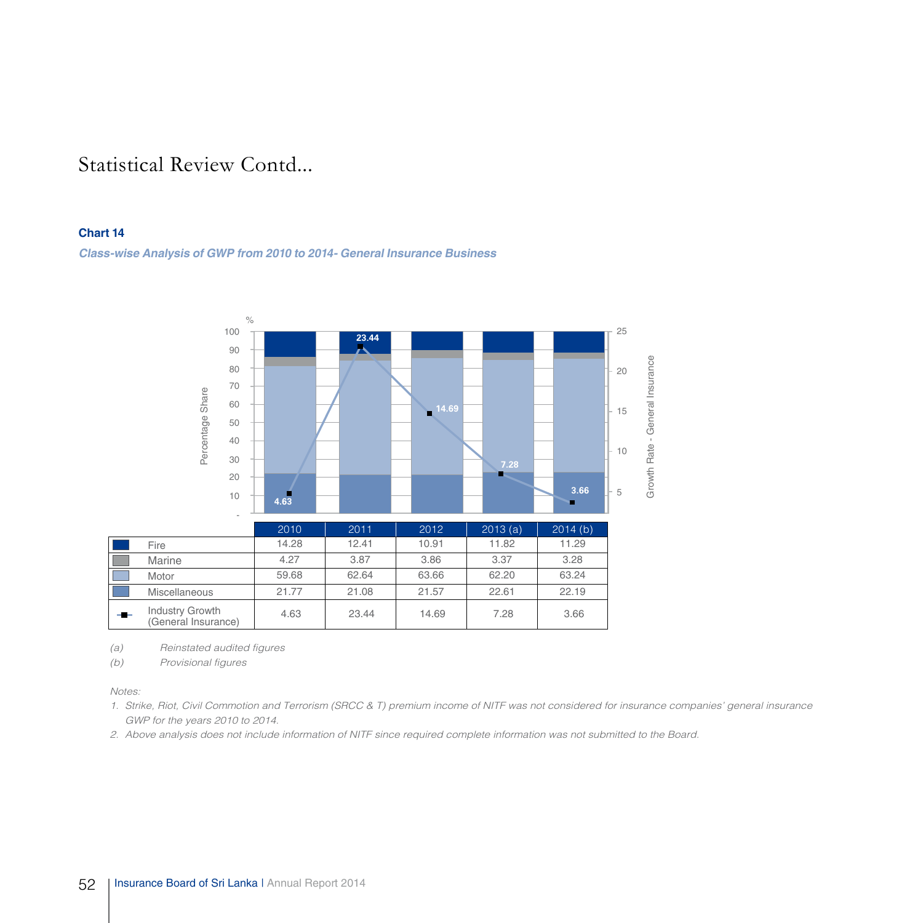#### **Chart 14**

**Class-wise Analysis of GWP from 2010 to 2014- General Insurance Business**



*(a) Reinstated audited figures* 

*(b) Provisional figures*

*Notes:*

*1. Strike, Riot, Civil Commotion and Terrorism (SRCC & T) premium income of NITF was not considered for insurance companies' general insurance GWP for the years 2010 to 2014.*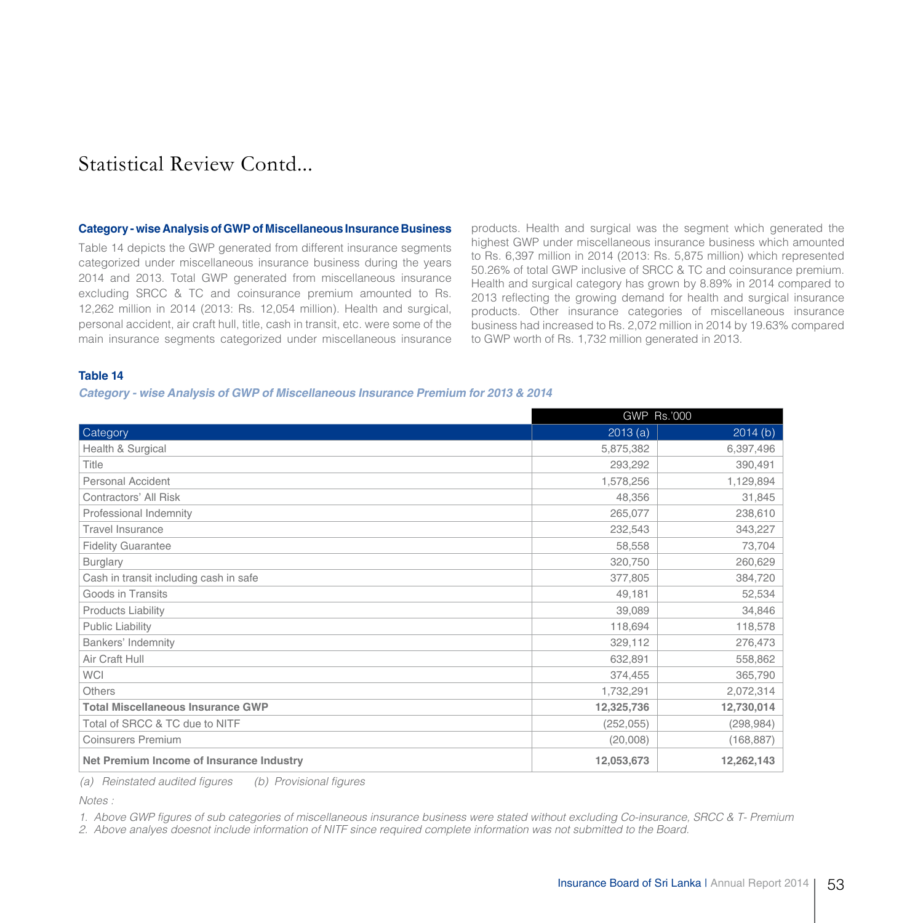#### **Category - wise Analysis of GWP of Miscellaneous Insurance Business**

Table 14 depicts the GWP generated from different insurance segments categorized under miscellaneous insurance business during the years 2014 and 2013. Total GWP generated from miscellaneous insurance excluding SRCC & TC and coinsurance premium amounted to Rs. 12,262 million in 2014 (2013: Rs. 12,054 million). Health and surgical, personal accident, air craft hull, title, cash in transit, etc. were some of the main insurance segments categorized under miscellaneous insurance products. Health and surgical was the segment which generated the highest GWP under miscellaneous insurance business which amounted to Rs. 6,397 million in 2014 (2013: Rs. 5,875 million) which represented 50.26% of total GWP inclusive of SRCC & TC and coinsurance premium. Health and surgical category has grown by 8.89% in 2014 compared to 2013 reflecting the growing demand for health and surgical insurance products. Other insurance categories of miscellaneous insurance business had increased to Rs. 2,072 million in 2014 by 19.63% compared to GWP worth of Rs. 1,732 million generated in 2013.

#### **Table 14**

#### **Category - wise Analysis of GWP of Miscellaneous Insurance Premium for 2013 & 2014**

|                                          | <b>GWP Rs.'000</b> |            |
|------------------------------------------|--------------------|------------|
| Category                                 | 2013(a)            | 2014(b)    |
| Health & Surgical                        | 5,875,382          | 6,397,496  |
| Title                                    | 293,292            | 390,491    |
| Personal Accident                        | 1,578,256          | 1,129,894  |
| Contractors' All Risk                    | 48,356             | 31,845     |
| Professional Indemnity                   | 265,077            | 238,610    |
| <b>Travel Insurance</b>                  | 232,543            | 343,227    |
| <b>Fidelity Guarantee</b>                | 58,558             | 73,704     |
| <b>Burglary</b>                          | 320,750            | 260,629    |
| Cash in transit including cash in safe   | 377,805            | 384,720    |
| Goods in Transits                        | 49,181             | 52,534     |
| <b>Products Liability</b>                | 39,089             | 34,846     |
| <b>Public Liability</b>                  | 118,694            | 118,578    |
| Bankers' Indemnity                       | 329,112            | 276,473    |
| Air Craft Hull                           | 632,891            | 558,862    |
| <b>WCI</b>                               | 374,455            | 365,790    |
| <b>Others</b>                            | 1,732,291          | 2,072,314  |
| <b>Total Miscellaneous Insurance GWP</b> | 12,325,736         | 12,730,014 |
| Total of SRCC & TC due to NITF           | (252, 055)         | (298, 984) |
| <b>Coinsurers Premium</b>                | (20,008)           | (168, 887) |
| Net Premium Income of Insurance Industry | 12,053,673         | 12,262,143 |

*(a) Reinstated audited figures (b) Provisional figures*

*Notes :*

*1. Above GWP figures of sub categories of miscellaneous insurance business were stated without excluding Co-insurance, SRCC & T- Premium*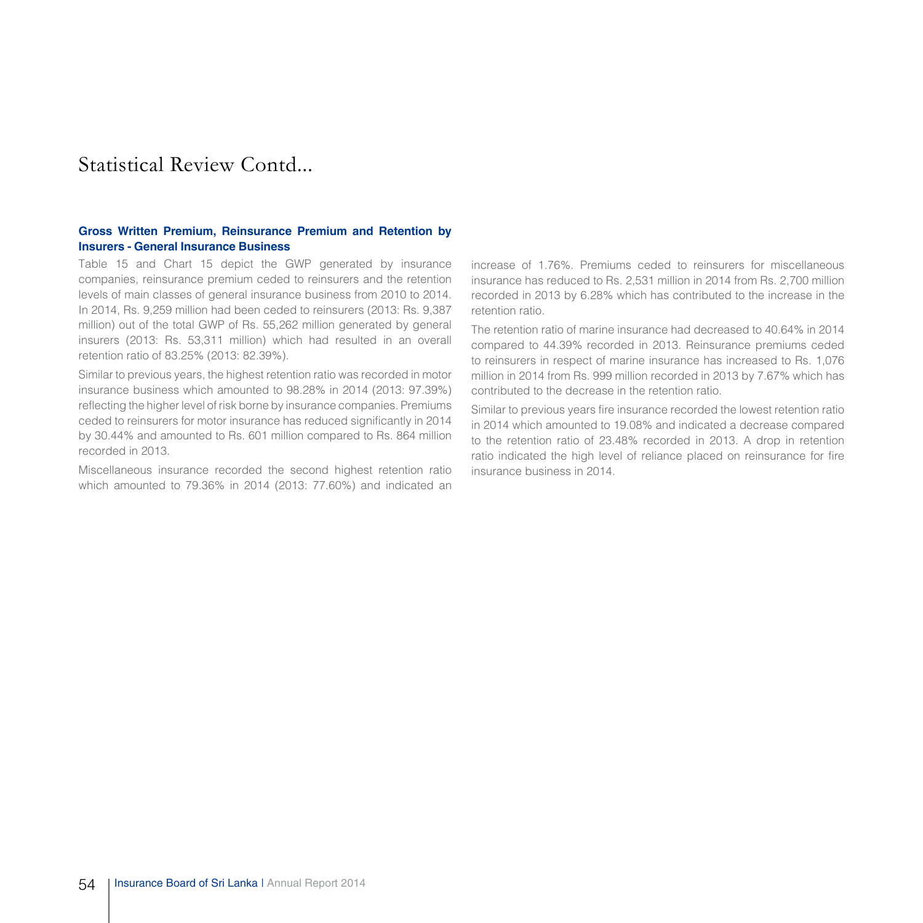#### **Gross Written Premium, Reinsurance Premium and Retention by Insurers - General Insurance Business**

Table 15 and Chart 15 depict the GWP generated by insurance companies, reinsurance premium ceded to reinsurers and the retention levels of main classes of general insurance business from 2010 to 2014. In 2014, Rs. 9,259 million had been ceded to reinsurers (2013: Rs. 9,387 million) out of the total GWP of Rs. 55,262 million generated by general insurers (2013: Rs. 53,311 million) which had resulted in an overall retention ratio of 83.25% (2013: 82.39%).

Similar to previous years, the highest retention ratio was recorded in motor insurance business which amounted to 98.28% in 2014 (2013: 97.39%) reflecting the higher level of risk borne by insurance companies. Premiums ceded to reinsurers for motor insurance has reduced significantly in 2014 by 30.44% and amounted to Rs. 601 million compared to Rs. 864 million recorded in 2013.

Miscellaneous insurance recorded the second highest retention ratio which amounted to 79.36% in 2014 (2013: 77.60%) and indicated an increase of 1.76%. Premiums ceded to reinsurers for miscellaneous insurance has reduced to Rs. 2,531 million in 2014 from Rs. 2,700 million recorded in 2013 by 6.28% which has contributed to the increase in the retention ratio.

The retention ratio of marine insurance had decreased to 40.64% in 2014 compared to 44.39% recorded in 2013. Reinsurance premiums ceded to reinsurers in respect of marine insurance has increased to Rs. 1,076 million in 2014 from Rs. 999 million recorded in 2013 by 7.67% which has contributed to the decrease in the retention ratio.

Similar to previous years fire insurance recorded the lowest retention ratio in 2014 which amounted to 19.08% and indicated a decrease compared to the retention ratio of 23.48% recorded in 2013. A drop in retention ratio indicated the high level of reliance placed on reinsurance for fire insurance business in 2014.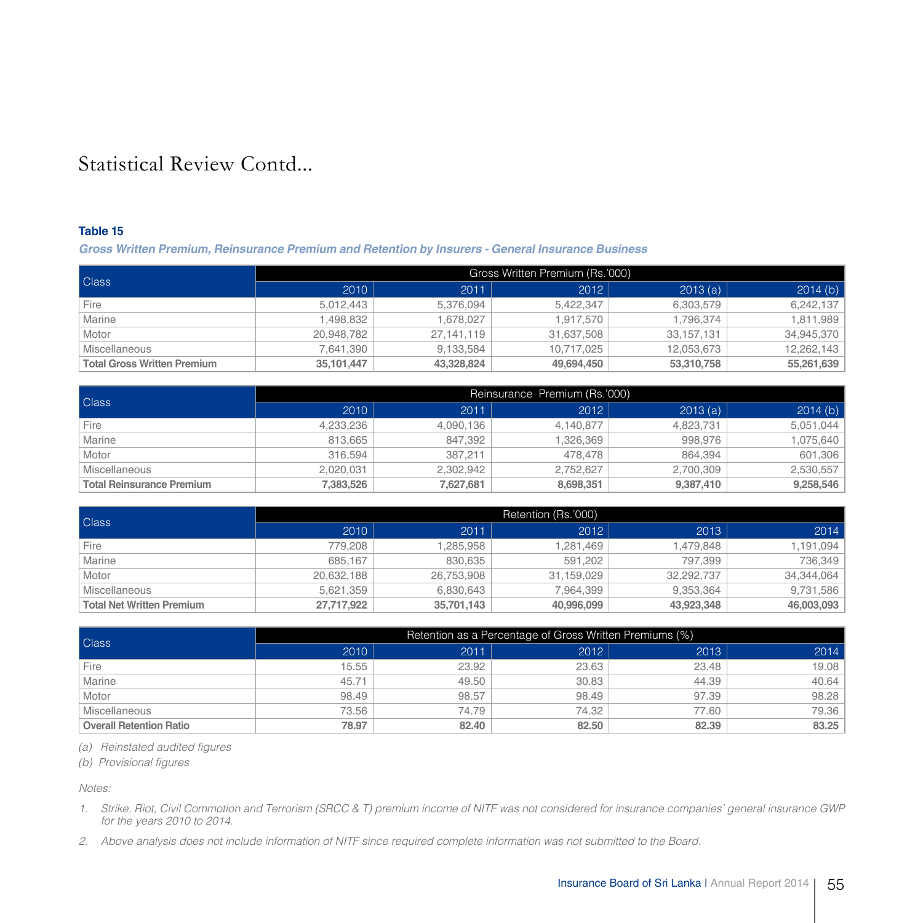#### **Table 15**

**Gross Written Premium, Reinsurance Premium and Retention by Insurers - General Insurance Business**

| Class                              | Gross Written Premium (Rs.'000) |            |            |            |            |  |
|------------------------------------|---------------------------------|------------|------------|------------|------------|--|
|                                    | 2010                            | 2011       | 2012       | 2013(a)    | 2014(b)    |  |
| Fire                               | 5.012.443                       | 5,376,094  | 5.422.347  | 6,303,579  | 6.242.137  |  |
| Marine                             | 1.498.832                       | 1.678.027  | 1.917.570  | 1.796.374  | 1.811.989  |  |
| Motor                              | 20.948.782                      | 27.141.119 | 31,637,508 | 33,157,131 | 34,945,370 |  |
| Miscellaneous                      | 7.641.390                       | 9.133.584  | 10.717.025 | 12.053.673 | 12.262.143 |  |
| <b>Total Gross Written Premium</b> | 35.101.447                      | 43.328.824 | 49.694.450 | 53,310,758 | 55,261,639 |  |

| Class                            | Reinsurance Premium (Rs.'000) |           |           |           |           |  |
|----------------------------------|-------------------------------|-----------|-----------|-----------|-----------|--|
|                                  | 2010                          | 2011      | 2012      | 2013(a)   | 2014(b)   |  |
| Fire                             | 4,233,236                     | 4,090,136 | 4.140.877 | 4.823.731 | 5.051.044 |  |
| Marine                           | 813.665                       | 847.392   | 1.326.369 | 998.976   | 1,075,640 |  |
| Motor                            | 316.594                       | 387.211   | 478.478   | 864.394   | 601,306   |  |
| Miscellaneous                    | 2,020,031                     | 2.302.942 | 2.752.627 | 2.700.309 | 2,530,557 |  |
| <b>Total Reinsurance Premium</b> | 7,383,526                     | 7.627.681 | 8.698.351 | 9.387.410 | 9,258,546 |  |

| Class                            | Retention (Rs.'000) |            |            |            |            |  |
|----------------------------------|---------------------|------------|------------|------------|------------|--|
|                                  | 2010                | 2011       | 2012       | 2013       | 2014       |  |
| Fire                             | 779.208             | .285.958   | 1.281.469  | 1.479.848  | 1.191.094  |  |
| Marine                           | 685.167             | 830.635    | 591,202    | 797.399    | 736,349    |  |
| Motor                            | 20.632.188          | 26,753,908 | 31,159,029 | 32.292.737 | 34,344,064 |  |
| Miscellaneous                    | 5.621.359           | 6.830.643  | 7.964.399  | 9.353.364  | 9,731,586  |  |
| <b>Total Net Written Premium</b> | 27,717,922          | 35,701,143 | 40,996,099 | 43.923.348 | 46,003,093 |  |

| Class                          | Retention as a Percentage of Gross Written Premiums (%) |       |       |       |       |  |
|--------------------------------|---------------------------------------------------------|-------|-------|-------|-------|--|
|                                | 2010                                                    | 2011  | 2012  | 2013  | 2014  |  |
| Fire                           | 15.55                                                   | 23.92 | 23.63 | 23.48 | 19.08 |  |
| Marine                         | 45.71                                                   | 49.50 | 30.83 | 44.39 | 40.64 |  |
| Motor                          | 98.49                                                   | 98.57 | 98.49 | 97.39 | 98.28 |  |
| <b>Miscellaneous</b>           | 73.56                                                   | 74.79 | 74.32 | 77.60 | 79.36 |  |
| <b>Overall Retention Ratio</b> | 78.97                                                   | 82.40 | 82.50 | 82.39 | 83.25 |  |

*(a) Reinstated audited figures* 

*(b) Provisional figures*

*Notes:*

- *1. Strike, Riot, Civil Commotion and Terrorism (SRCC & T) premium income of NITF was not considered for insurance companies' general insurance GWP for the years 2010 to 2014.*
- *2. Above analysis does not include information of NITF since required complete information was not submitted to the Board.*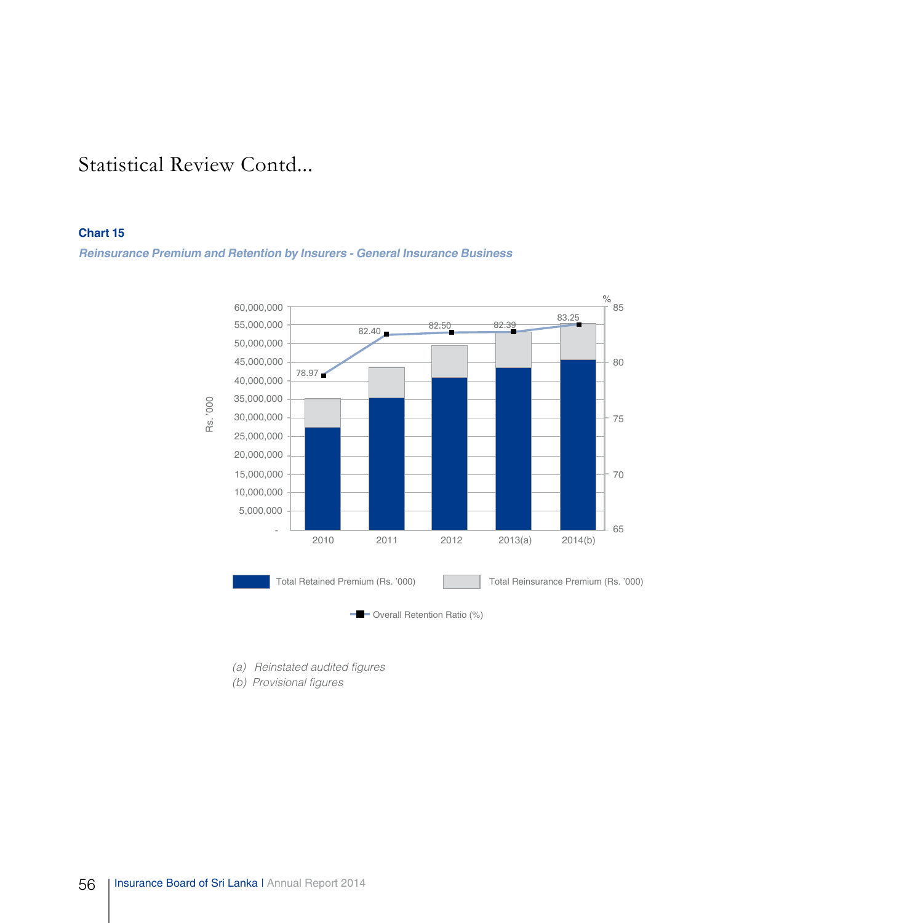#### **Chart 15**

#### **Reinsurance Premium and Retention by Insurers - General Insurance Business**



*(a) Reinstated audited figures* 

*(b) Provisional figures*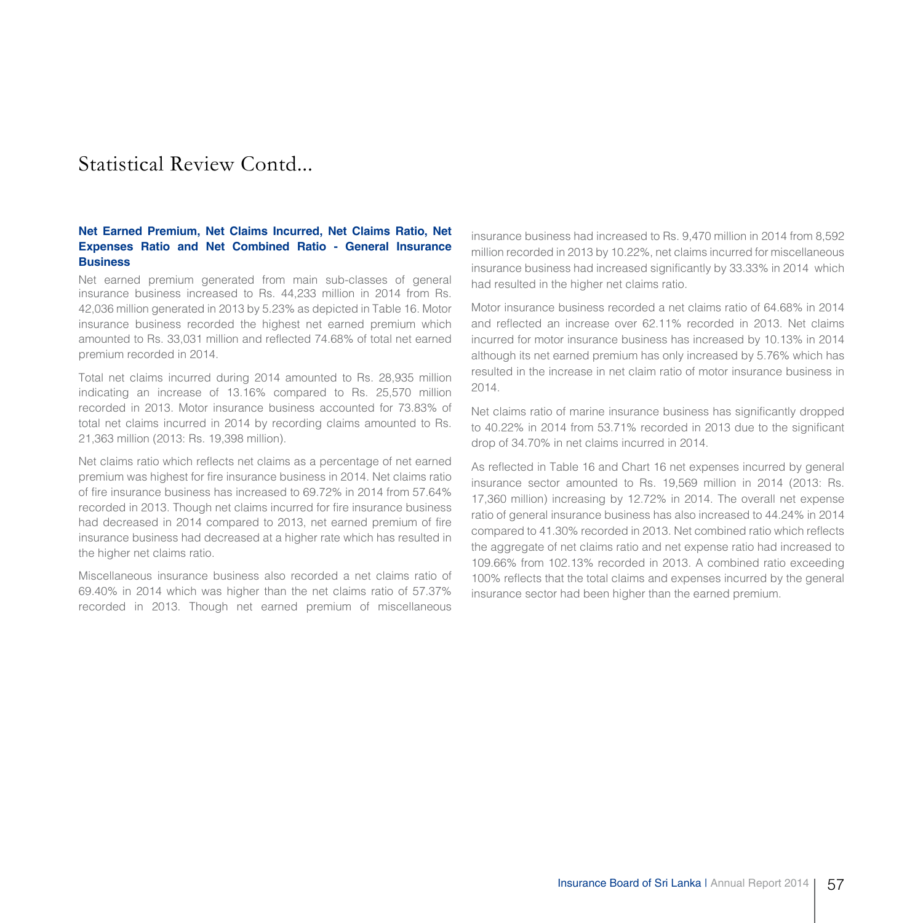#### **Net Earned Premium, Net Claims Incurred, Net Claims Ratio, Net Expenses Ratio and Net Combined Ratio - General Insurance Business**

Net earned premium generated from main sub-classes of general insurance business increased to Rs. 44,233 million in 2014 from Rs. 42,036 million generated in 2013 by 5.23% as depicted in Table 16. Motor insurance business recorded the highest net earned premium which amounted to Rs. 33,031 million and reflected 74.68% of total net earned premium recorded in 2014.

Total net claims incurred during 2014 amounted to Rs. 28,935 million indicating an increase of 13.16% compared to Rs. 25,570 million recorded in 2013. Motor insurance business accounted for 73.83% of total net claims incurred in 2014 by recording claims amounted to Rs. 21,363 million (2013: Rs. 19,398 million).

Net claims ratio which reflects net claims as a percentage of net earned premium was highest for fire insurance business in 2014. Net claims ratio of fire insurance business has increased to 69.72% in 2014 from 57.64% recorded in 2013. Though net claims incurred for fire insurance business had decreased in 2014 compared to 2013, net earned premium of fire insurance business had decreased at a higher rate which has resulted in the higher net claims ratio.

Miscellaneous insurance business also recorded a net claims ratio of 69.40% in 2014 which was higher than the net claims ratio of 57.37% recorded in 2013. Though net earned premium of miscellaneous

insurance business had increased to Rs. 9,470 million in 2014 from 8,592 million recorded in 2013 by 10.22%, net claims incurred for miscellaneous insurance business had increased significantly by 33.33% in 2014 which had resulted in the higher net claims ratio.

Motor insurance business recorded a net claims ratio of 64.68% in 2014 and reflected an increase over 62.11% recorded in 2013. Net claims incurred for motor insurance business has increased by 10.13% in 2014 although its net earned premium has only increased by 5.76% which has resulted in the increase in net claim ratio of motor insurance business in 2014.

Net claims ratio of marine insurance business has significantly dropped to 40.22% in 2014 from 53.71% recorded in 2013 due to the significant drop of 34.70% in net claims incurred in 2014.

As reflected in Table 16 and Chart 16 net expenses incurred by general insurance sector amounted to Rs. 19,569 million in 2014 (2013: Rs. 17,360 million) increasing by 12.72% in 2014. The overall net expense ratio of general insurance business has also increased to 44.24% in 2014 compared to 41.30% recorded in 2013. Net combined ratio which reflects the aggregate of net claims ratio and net expense ratio had increased to 109.66% from 102.13% recorded in 2013. A combined ratio exceeding 100% reflects that the total claims and expenses incurred by the general insurance sector had been higher than the earned premium.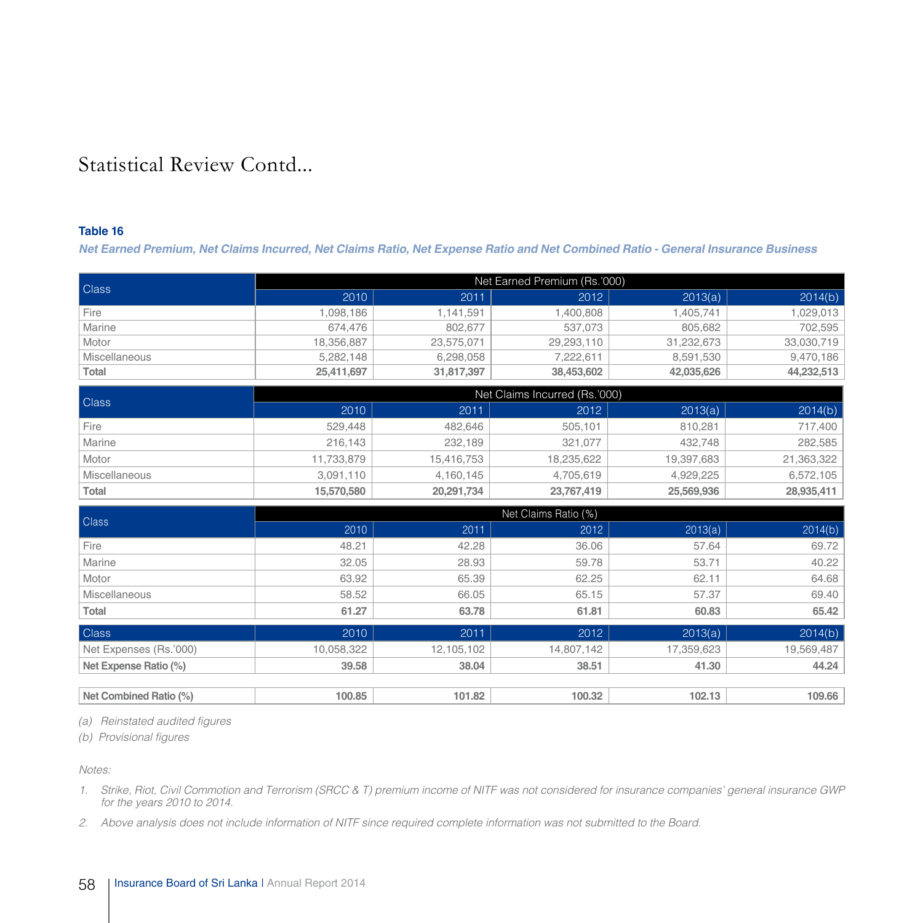#### **Table 16**

**Net Earned Premium, Net Claims Incurred, Net Claims Ratio, Net Expense Ratio and Net Combined Ratio - General Insurance Business**

| Class         |                                                                                                                      | Net Earned Premium (Rs.'000) |            |            |            |  |  |
|---------------|----------------------------------------------------------------------------------------------------------------------|------------------------------|------------|------------|------------|--|--|
|               | 2010                                                                                                                 | 2011                         | 2012       | 2013(a)    | 2014(b)    |  |  |
| Fire          | 1,098,186                                                                                                            | 1,141,591                    | 1.400.808  | .405.741   | 1.029.013  |  |  |
| Marine        | 674.476                                                                                                              | 802.677                      | 537,073    | 805.682    | 702.595    |  |  |
| Motor         | 18.356.887                                                                                                           | 23.575.071                   | 29.293.110 | 31.232.673 | 33.030.719 |  |  |
| Miscellaneous | 5.282.148                                                                                                            | 6.298.058                    | 7.222.611  | 8.591.530  | 9.470.186  |  |  |
| Total         | 25.411.697                                                                                                           | 31,817,397                   | 38,453,602 | 42.035.626 | 44,232,513 |  |  |
|               | $N_{\text{max}}$ $\bigcap_{n=1}^{n}$ $\bigcap_{n=1}^{n}$ $\bigcap_{n=1}^{n}$ $\bigcap_{n=1}^{n}$ $\bigcap_{n=1}^{n}$ |                              |            |            |            |  |  |

| Class                | Net Claims Incurred (Rs.'000) |            |            |            |            |  |
|----------------------|-------------------------------|------------|------------|------------|------------|--|
|                      | 2010                          | 2011       | 2012       | 2013(a)    | 2014(b)    |  |
| Fire                 | 529.448                       | 482.646    | 505,101    | 810.281    | 717,400    |  |
| Marine               | 216.143                       | 232.189    | 321.077    | 432.748    | 282,585    |  |
| Motor                | 11.733.879                    | 15,416,753 | 18,235,622 | 19.397.683 | 21,363,322 |  |
| <b>Miscellaneous</b> | 3,091,110                     | 4,160,145  | 4,705,619  | 4,929,225  | 6,572,105  |  |
| Total                | 15,570,580                    | 20.291.734 | 23,767,419 | 25,569,936 | 28,935,411 |  |

| <b>Class</b>           |            |            | Net Claims Ratio (%) |            |            |  |  |  |
|------------------------|------------|------------|----------------------|------------|------------|--|--|--|
|                        | 2010       | 2011       | 2012                 | 2013(a)    | 2014(b)    |  |  |  |
| Fire                   | 48.21      | 42.28      | 36.06                | 57.64      | 69.72      |  |  |  |
| Marine                 | 32.05      | 28.93      | 59.78                | 53.71      | 40.22      |  |  |  |
| Motor                  | 63.92      | 65.39      | 62.25                | 62.11      | 64.68      |  |  |  |
| Miscellaneous          | 58.52      | 66.05      | 65.15                | 57.37      | 69.40      |  |  |  |
| Total                  | 61.27      | 63.78      | 61.81                | 60.83      | 65.42      |  |  |  |
| Class                  | 2010       | 2011       | 2012                 | 2013(a)    | 2014(b)    |  |  |  |
| Net Expenses (Rs.'000) | 10,058,322 | 12,105,102 | 14,807,142           | 17,359,623 | 19,569,487 |  |  |  |
| Net Expense Ratio (%)  | 39.58      | 38.04      | 38.51                | 41.30      | 44.24      |  |  |  |
|                        |            |            |                      |            |            |  |  |  |
| Net Combined Ratio (%) | 100.85     | 101.82     | 100.32               | 102.13     | 109.66     |  |  |  |

*(a) Reinstated audited figures* 

*(b) Provisional figures*

*Notes:*

- *1. Strike, Riot, Civil Commotion and Terrorism (SRCC & T) premium income of NITF was not considered for insurance companies' general insurance GWP for the years 2010 to 2014.*
- *2. Above analysis does not include information of NITF since required complete information was not submitted to the Board.*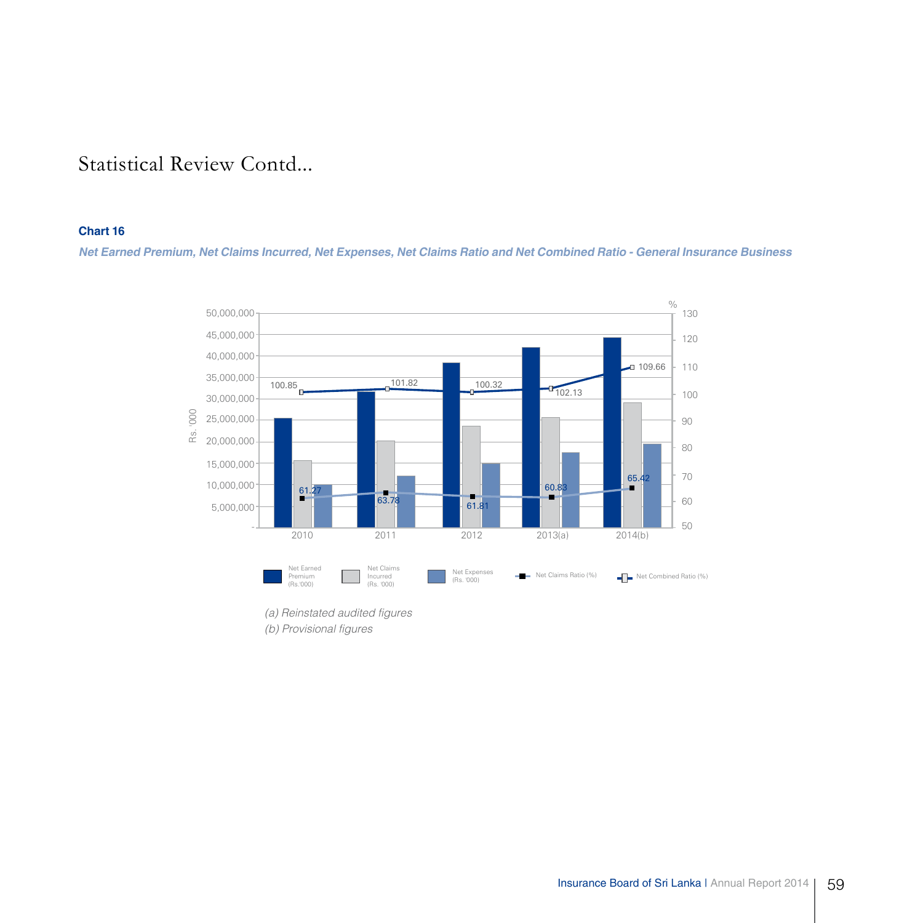#### **Chart 16**

**Net Earned Premium, Net Claims Incurred, Net Expenses, Net Claims Ratio and Net Combined Ratio - General Insurance Business**



Insurance Board of Sri Lanka | Annual Report 2014 | 59

*(a) Reinstated audited figures (b) Provisional figures*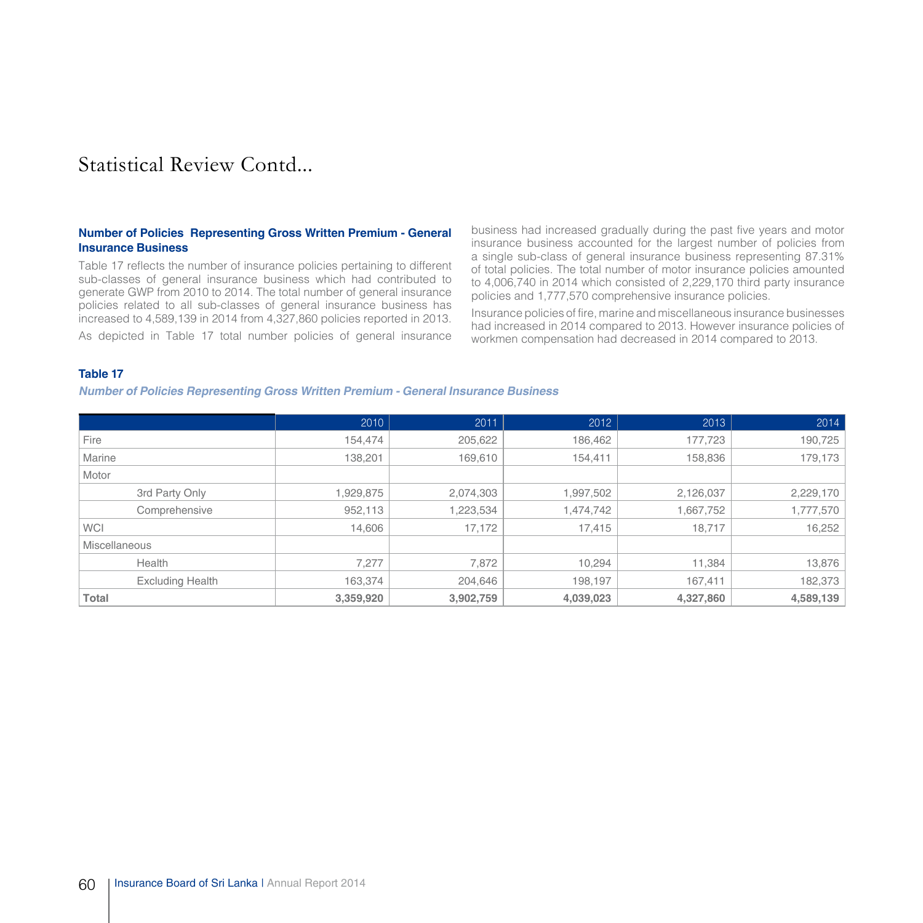#### **Number of Policies Representing Gross Written Premium - General Insurance Business**

Table 17 reflects the number of insurance policies pertaining to different sub-classes of general insurance business which had contributed to generate GWP from 2010 to 2014. The total number of general insurance policies related to all sub-classes of general insurance business has increased to 4,589,139 in 2014 from 4,327,860 policies reported in 2013.

As depicted in Table 17 total number policies of general insurance

business had increased gradually during the past five years and motor insurance business accounted for the largest number of policies from a single sub-class of general insurance business representing 87.31% of total policies. The total number of motor insurance policies amounted to 4,006,740 in 2014 which consisted of 2,229,170 third party insurance policies and 1,777,570 comprehensive insurance policies.

Insurance policies of fire, marine and miscellaneous insurance businesses had increased in 2014 compared to 2013. However insurance policies of workmen compensation had decreased in 2014 compared to 2013.

#### **Table 17**

#### **Number of Policies Representing Gross Written Premium - General Insurance Business**

|                         | 2010      | 2011      | 2012      | 2013      | 2014      |
|-------------------------|-----------|-----------|-----------|-----------|-----------|
| Fire                    | 154,474   | 205,622   | 186,462   | 177,723   | 190,725   |
| Marine                  | 138,201   | 169,610   | 154,411   | 158,836   | 179,173   |
| Motor                   |           |           |           |           |           |
| 3rd Party Only          | 1,929,875 | 2,074,303 | 1,997,502 | 2,126,037 | 2,229,170 |
| Comprehensive           | 952,113   | 1,223,534 | 1,474,742 | 1,667,752 | 1,777,570 |
| <b>WCI</b>              | 14,606    | 17,172    | 17,415    | 18,717    | 16,252    |
| Miscellaneous           |           |           |           |           |           |
| Health                  | 7,277     | 7,872     | 10,294    | 11,384    | 13,876    |
| <b>Excluding Health</b> | 163,374   | 204,646   | 198,197   | 167,411   | 182,373   |
| Total                   | 3,359,920 | 3,902,759 | 4,039,023 | 4,327,860 | 4,589,139 |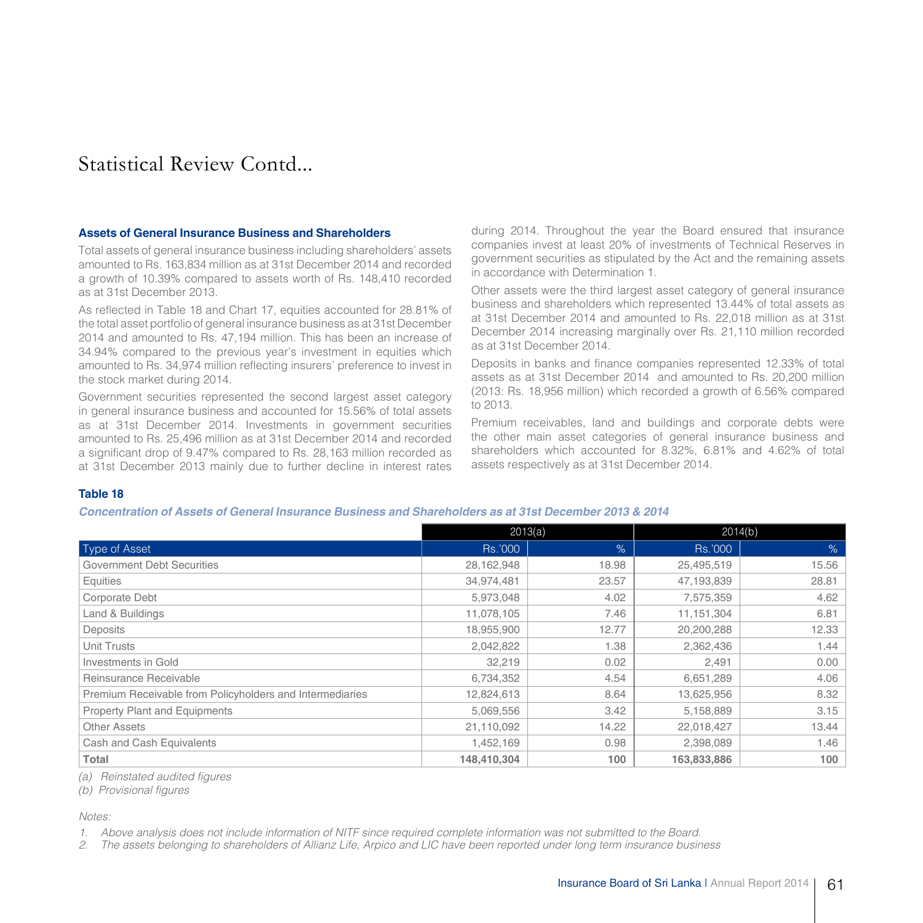#### **Assets of General Insurance Business and Shareholders**

Total assets of general insurance business including shareholders' assets amounted to Rs. 163,834 million as at 31st December 2014 and recorded a growth of 10.39% compared to assets worth of Rs. 148,410 recorded as at 31st December 2013.

As reflected in Table 18 and Chart 17, equities accounted for 28.81% of the total asset portfolio of general insurance business as at 31st December 2014 and amounted to Rs. 47,194 million. This has been an increase of 34.94% compared to the previous year's investment in equities which amounted to Rs. 34,974 million reflecting insurers' preference to invest in the stock market during 2014.

Government securities represented the second largest asset category in general insurance business and accounted for 15.56% of total assets as at 31st December 2014. Investments in government securities amounted to Rs. 25,496 million as at 31st December 2014 and recorded a significant drop of 9.47% compared to Rs. 28,163 million recorded as at 31st December 2013 mainly due to further decline in interest rates during 2014. Throughout the year the Board ensured that insurance companies invest at least 20% of investments of Technical Reserves in government securities as stipulated by the Act and the remaining assets in accordance with Determination 1.

Other assets were the third largest asset category of general insurance business and shareholders which represented 13.44% of total assets as at 31st December 2014 and amounted to Rs. 22,018 million as at 31st December 2014 increasing marginally over Rs. 21,110 million recorded as at 31st December 2014.

Deposits in banks and finance companies represented 12.33% of total assets as at 31st December 2014 and amounted to Rs. 20,200 million (2013: Rs. 18,956 million) which recorded a growth of 6.56% compared to 2013.

Premium receivables, land and buildings and corporate debts were the other main asset categories of general insurance business and shareholders which accounted for 8.32%, 6.81% and 4.62% of total assets respectively as at 31st December 2014.

#### **Table 18**

#### **Concentration of Assets of General Insurance Business and Shareholders as at 31st December 2013 & 2014**

|                                                          | 2013(a)     |       | 2014(b)     |       |  |
|----------------------------------------------------------|-------------|-------|-------------|-------|--|
| Type of Asset                                            | Rs.'000     | $\%$  | Rs.'000     | $\%$  |  |
| <b>Government Debt Securities</b>                        | 28,162,948  | 18.98 | 25,495,519  | 15.56 |  |
| Equities                                                 | 34,974,481  | 23.57 | 47,193,839  | 28.81 |  |
| Corporate Debt                                           | 5,973,048   | 4.02  | 7,575,359   | 4.62  |  |
| Land & Buildings                                         | 11,078,105  | 7.46  | 11,151,304  | 6.81  |  |
| Deposits                                                 | 18,955,900  | 12.77 | 20,200,288  | 12.33 |  |
| Unit Trusts                                              | 2,042,822   | 1.38  | 2,362,436   | 1.44  |  |
| Investments in Gold                                      | 32,219      | 0.02  | 2,491       | 0.00  |  |
| Reinsurance Receivable                                   | 6,734,352   | 4.54  | 6,651,289   | 4.06  |  |
| Premium Receivable from Policyholders and Intermediaries | 12,824,613  | 8.64  | 13,625,956  | 8.32  |  |
| Property Plant and Equipments                            | 5,069,556   | 3.42  | 5,158,889   | 3.15  |  |
| <b>Other Assets</b>                                      | 21,110,092  | 14.22 | 22,018,427  | 13.44 |  |
| Cash and Cash Equivalents                                | 1,452,169   | 0.98  | 2,398,089   | 1.46  |  |
| Total                                                    | 148,410,304 | 100   | 163,833,886 | 100   |  |

*(a) Reinstated audited figures* 

*(b) Provisional figures*

*Notes:*

*1. Above analysis does not include information of NITF since required complete information was not submitted to the Board.*

*2. The assets belonging to shareholders of Allianz Life, Arpico and LIC have been reported under long term insurance business*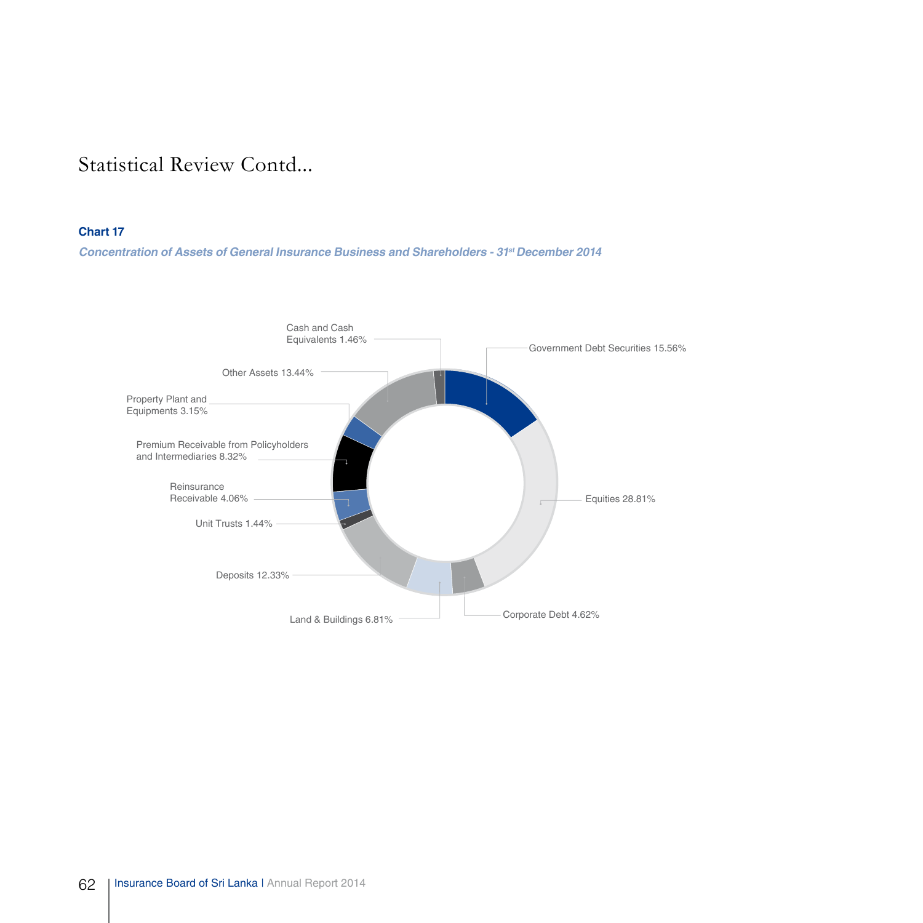#### **Chart 17**

**Concentration of Assets of General Insurance Business and Shareholders - 31st December 2014**

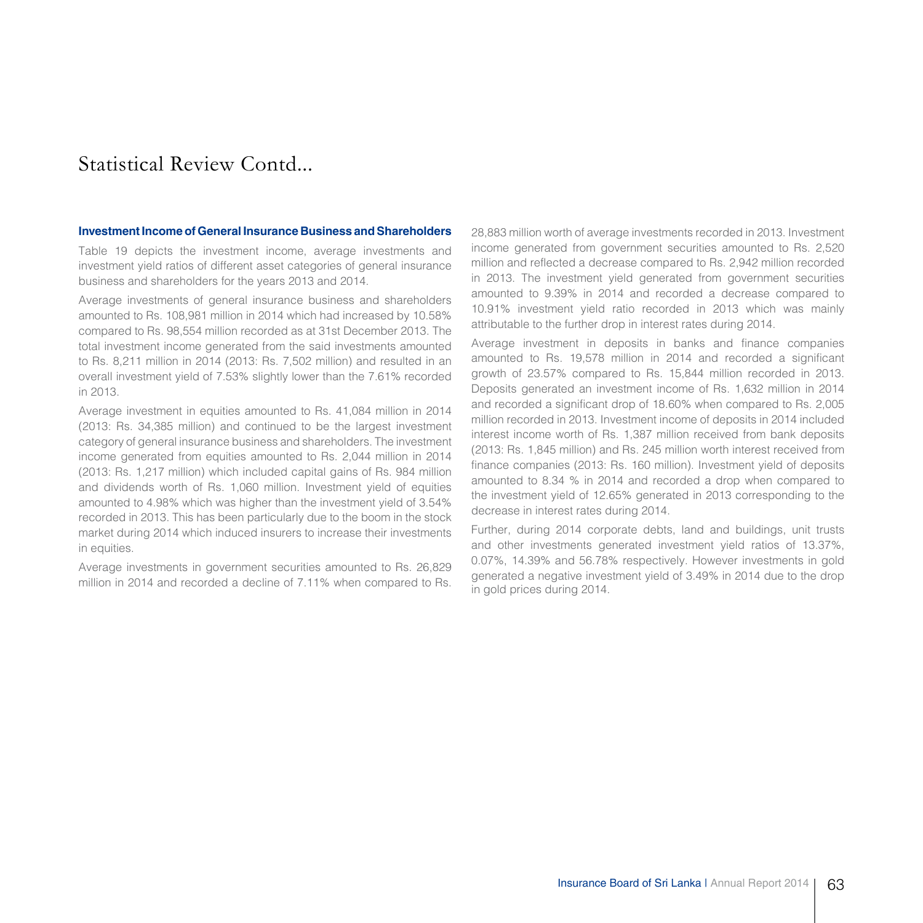#### **Investment Income of General Insurance Business and Shareholders**

Table 19 depicts the investment income, average investments and investment yield ratios of different asset categories of general insurance business and shareholders for the years 2013 and 2014.

Average investments of general insurance business and shareholders amounted to Rs. 108,981 million in 2014 which had increased by 10.58% compared to Rs. 98,554 million recorded as at 31st December 2013. The total investment income generated from the said investments amounted to Rs. 8,211 million in 2014 (2013: Rs. 7,502 million) and resulted in an overall investment yield of 7.53% slightly lower than the 7.61% recorded in 2013.

Average investment in equities amounted to Rs. 41,084 million in 2014 (2013: Rs. 34,385 million) and continued to be the largest investment category of general insurance business and shareholders. The investment income generated from equities amounted to Rs. 2,044 million in 2014 (2013: Rs. 1,217 million) which included capital gains of Rs. 984 million and dividends worth of Rs. 1,060 million. Investment yield of equities amounted to 4.98% which was higher than the investment yield of 3.54% recorded in 2013. This has been particularly due to the boom in the stock market during 2014 which induced insurers to increase their investments in equities.

Average investments in government securities amounted to Rs. 26,829 million in 2014 and recorded a decline of 7.11% when compared to Rs. 28,883 million worth of average investments recorded in 2013. Investment income generated from government securities amounted to Rs. 2,520 million and reflected a decrease compared to Rs. 2,942 million recorded in 2013. The investment yield generated from government securities amounted to 9.39% in 2014 and recorded a decrease compared to 10.91% investment yield ratio recorded in 2013 which was mainly attributable to the further drop in interest rates during 2014.

Average investment in deposits in banks and finance companies amounted to Rs. 19,578 million in 2014 and recorded a significant growth of 23.57% compared to Rs. 15,844 million recorded in 2013. Deposits generated an investment income of Rs. 1,632 million in 2014 and recorded a significant drop of 18.60% when compared to Rs. 2,005 million recorded in 2013. Investment income of deposits in 2014 included interest income worth of Rs. 1,387 million received from bank deposits (2013: Rs. 1,845 million) and Rs. 245 million worth interest received from finance companies (2013: Rs. 160 million). Investment yield of deposits amounted to 8.34 % in 2014 and recorded a drop when compared to the investment yield of 12.65% generated in 2013 corresponding to the decrease in interest rates during 2014.

Further, during 2014 corporate debts, land and buildings, unit trusts and other investments generated investment yield ratios of 13.37%, 0.07%, 14.39% and 56.78% respectively. However investments in gold generated a negative investment yield of 3.49% in 2014 due to the drop in gold prices during 2014.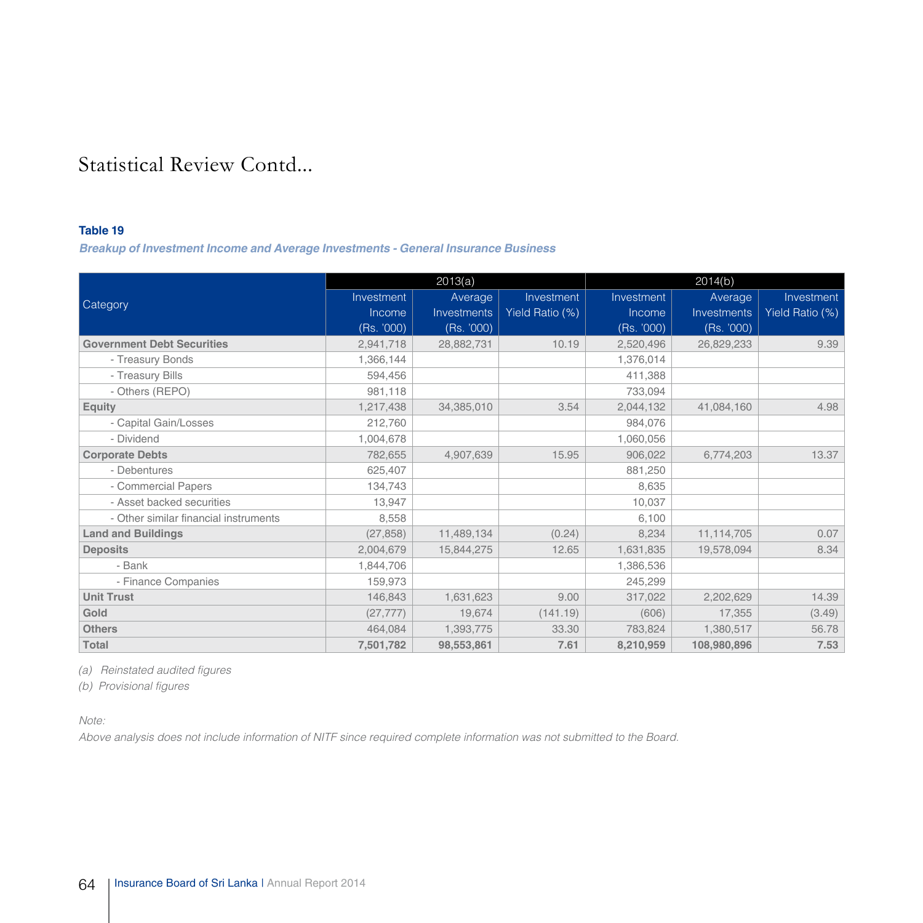#### **Table 19**

**Breakup of Investment Income and Average Investments - General Insurance Business**

|                                       |            | 2013(a)            |                 | 2014(b)    |             |                 |  |
|---------------------------------------|------------|--------------------|-----------------|------------|-------------|-----------------|--|
|                                       | Investment | Average            | Investment      | Investment | Average     | Investment      |  |
| Category                              | Income     | <b>Investments</b> | Yield Ratio (%) | Income     | Investments | Yield Ratio (%) |  |
|                                       | (Rs. '000) | (Rs. '000)         |                 | (Rs. '000) | (Rs. '000)  |                 |  |
| <b>Government Debt Securities</b>     | 2,941,718  | 28,882,731         | 10.19           | 2,520,496  | 26,829,233  | 9.39            |  |
| - Treasury Bonds                      | 1,366,144  |                    |                 | 1,376,014  |             |                 |  |
| - Treasury Bills                      | 594,456    |                    |                 | 411,388    |             |                 |  |
| - Others (REPO)                       | 981,118    |                    |                 | 733,094    |             |                 |  |
| Equity                                | 1,217,438  | 34,385,010         | 3.54            | 2,044,132  | 41,084,160  | 4.98            |  |
| - Capital Gain/Losses                 | 212,760    |                    |                 | 984,076    |             |                 |  |
| - Dividend                            | 1,004,678  |                    |                 | 1,060,056  |             |                 |  |
| <b>Corporate Debts</b>                | 782,655    | 4,907,639          | 15.95           | 906,022    | 6,774,203   | 13.37           |  |
| - Debentures                          | 625,407    |                    |                 | 881,250    |             |                 |  |
| - Commercial Papers                   | 134,743    |                    |                 | 8,635      |             |                 |  |
| - Asset backed securities             | 13,947     |                    |                 | 10,037     |             |                 |  |
| - Other similar financial instruments | 8,558      |                    |                 | 6,100      |             |                 |  |
| <b>Land and Buildings</b>             | (27, 858)  | 11,489,134         | (0.24)          | 8,234      | 11,114,705  | 0.07            |  |
| <b>Deposits</b>                       | 2,004,679  | 15,844,275         | 12.65           | 1,631,835  | 19,578,094  | 8.34            |  |
| - Bank                                | 1,844,706  |                    |                 | 1,386,536  |             |                 |  |
| - Finance Companies                   | 159,973    |                    |                 | 245,299    |             |                 |  |
| <b>Unit Trust</b>                     | 146,843    | 1,631,623          | 9.00            | 317,022    | 2,202,629   | 14.39           |  |
| Gold                                  | (27, 777)  | 19,674             | (141.19)        | (606)      | 17,355      | (3.49)          |  |
| <b>Others</b>                         | 464,084    | 1,393,775          | 33.30           | 783,824    | 1,380,517   | 56.78           |  |
| Total                                 | 7,501,782  | 98,553,861         | 7.61            | 8,210,959  | 108,980,896 | 7.53            |  |

*(a) Reinstated audited figures* 

*(b) Provisional figures*

*Note:*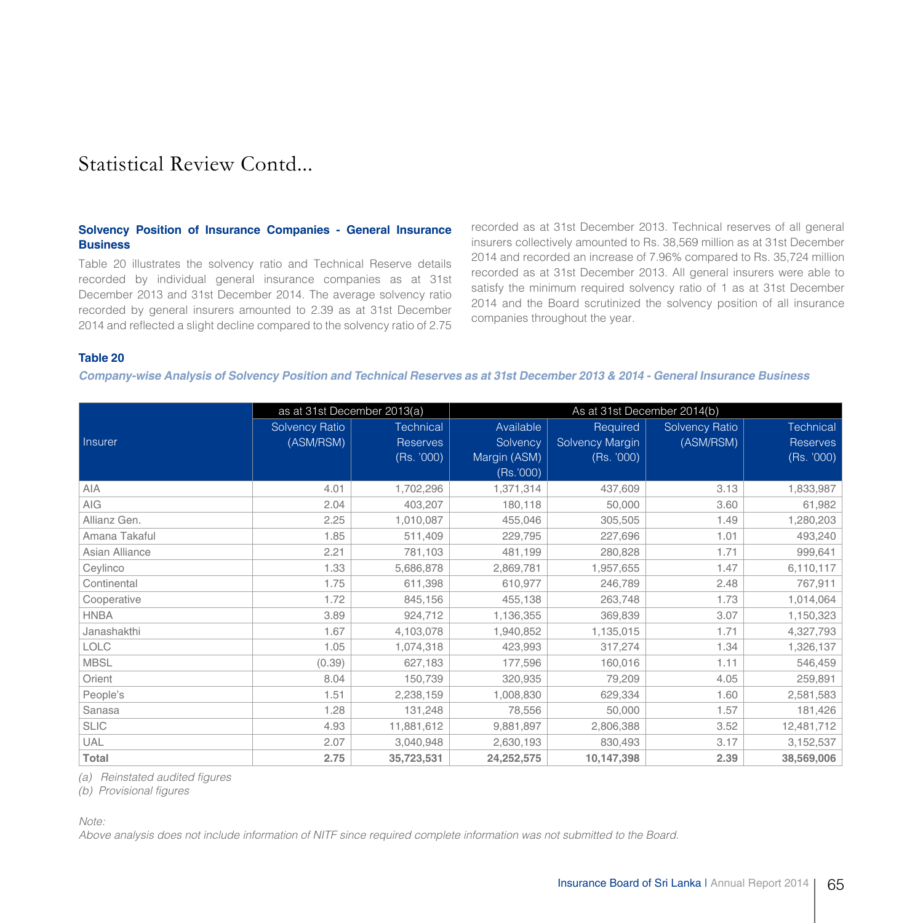#### **Solvency Position of Insurance Companies - General Insurance Business**

Table 20 illustrates the solvency ratio and Technical Reserve details recorded by individual general insurance companies as at 31st December 2013 and 31st December 2014. The average solvency ratio recorded by general insurers amounted to 2.39 as at 31st December 2014 and reflected a slight decline compared to the solvency ratio of 2.75

recorded as at 31st December 2013. Technical reserves of all general insurers collectively amounted to Rs. 38,569 million as at 31st December 2014 and recorded an increase of 7.96% compared to Rs. 35,724 million recorded as at 31st December 2013. All general insurers were able to satisfy the minimum required solvency ratio of 1 as at 31st December 2014 and the Board scrutinized the solvency position of all insurance companies throughout the year.

#### **Table 20**

**Company-wise Analysis of Solvency Position and Technical Reserves as at 31st December 2013 & 2014 - General Insurance Business** 

|                | as at 31st December 2013(a) |            | As at 31st December 2014(b) |                 |                       |                  |
|----------------|-----------------------------|------------|-----------------------------|-----------------|-----------------------|------------------|
|                | <b>Solvency Ratio</b>       | Technical  | Available                   | Required        | <b>Solvency Ratio</b> | <b>Technical</b> |
| <b>Insurer</b> | (ASM/RSM)                   | Reserves   | <b>Solvency</b>             | Solvency Margin | (ASM/RSM)             | Reserves         |
|                |                             | (Rs. '000) | Margin (ASM)                | (Rs. '000)      |                       | (Rs. '000)       |
|                |                             |            | (Rs.'000)                   |                 |                       |                  |
| AIA            | 4.01                        | 1,702,296  | 1,371,314                   | 437,609         | 3.13                  | 1,833,987        |
| AIG            | 2.04                        | 403,207    | 180,118                     | 50,000          | 3.60                  | 61,982           |
| Allianz Gen.   | 2.25                        | 1,010,087  | 455,046                     | 305,505         | 1.49                  | 1,280,203        |
| Amana Takaful  | 1.85                        | 511,409    | 229,795                     | 227,696         | 1.01                  | 493,240          |
| Asian Alliance | 2.21                        | 781,103    | 481,199                     | 280,828         | 1.71                  | 999,641          |
| Ceylinco       | 1.33                        | 5,686,878  | 2,869,781                   | 1,957,655       | 1.47                  | 6,110,117        |
| Continental    | 1.75                        | 611,398    | 610,977                     | 246,789         | 2.48                  | 767,911          |
| Cooperative    | 1.72                        | 845,156    | 455,138                     | 263,748         | 1.73                  | 1,014,064        |
| <b>HNBA</b>    | 3.89                        | 924,712    | 1,136,355                   | 369,839         | 3.07                  | 1,150,323        |
| Janashakthi    | 1.67                        | 4,103,078  | 1,940,852                   | 1,135,015       | 1.71                  | 4,327,793        |
| LOLC           | 1.05                        | 1,074,318  | 423,993                     | 317,274         | 1.34                  | 1,326,137        |
| MBSL           | (0.39)                      | 627,183    | 177,596                     | 160,016         | 1.11                  | 546,459          |
| Orient         | 8.04                        | 150,739    | 320,935                     | 79,209          | 4.05                  | 259,891          |
| People's       | 1.51                        | 2,238,159  | 1,008,830                   | 629,334         | 1.60                  | 2,581,583        |
| Sanasa         | 1.28                        | 131,248    | 78,556                      | 50,000          | 1.57                  | 181,426          |
| <b>SLIC</b>    | 4.93                        | 11,881,612 | 9,881,897                   | 2,806,388       | 3.52                  | 12,481,712       |
| UAL            | 2.07                        | 3,040,948  | 2,630,193                   | 830,493         | 3.17                  | 3,152,537        |
| Total          | 2.75                        | 35,723,531 | 24,252,575                  | 10,147,398      | 2.39                  | 38,569,006       |

*(a) Reinstated audited figures* 

*(b) Provisional figures*

*Note:*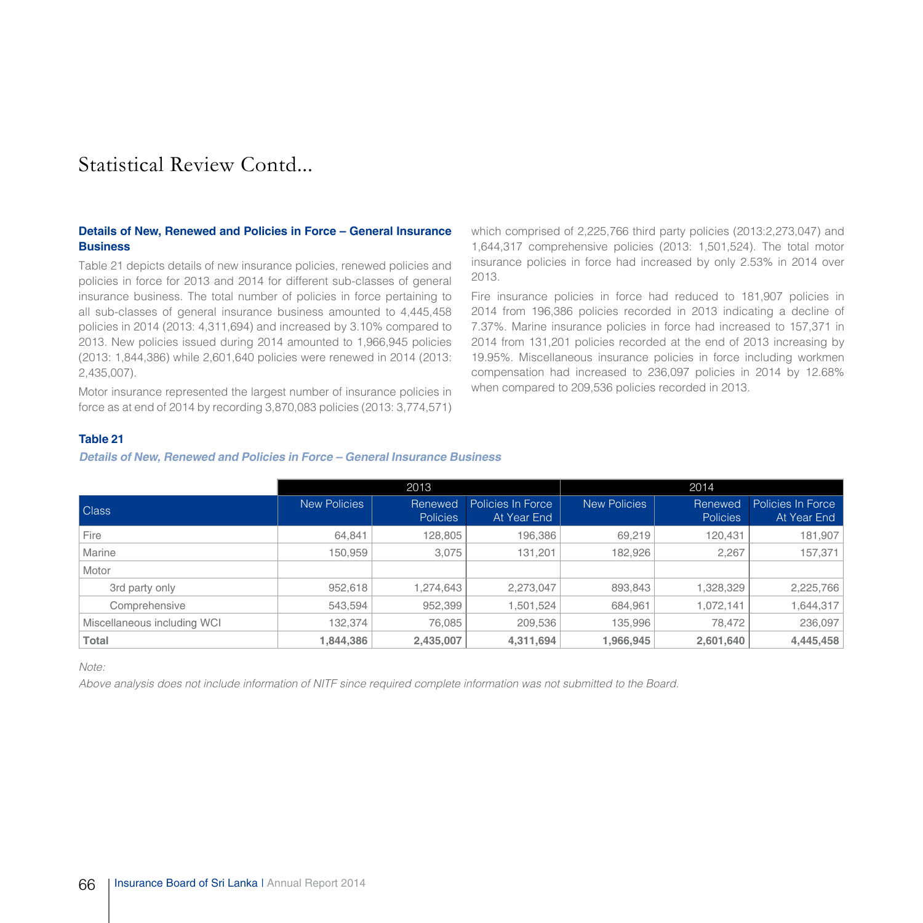#### **Details of New, Renewed and Policies in Force – General Insurance Business**

Table 21 depicts details of new insurance policies, renewed policies and policies in force for 2013 and 2014 for different sub-classes of general insurance business. The total number of policies in force pertaining to all sub-classes of general insurance business amounted to 4,445,458 policies in 2014 (2013: 4,311,694) and increased by 3.10% compared to 2013. New policies issued during 2014 amounted to 1,966,945 policies (2013: 1,844,386) while 2,601,640 policies were renewed in 2014 (2013: 2,435,007).

Motor insurance represented the largest number of insurance policies in force as at end of 2014 by recording 3,870,083 policies (2013: 3,774,571)

which comprised of 2,225,766 third party policies (2013:2,273,047) and 1,644,317 comprehensive policies (2013: 1,501,524). The total motor insurance policies in force had increased by only 2.53% in 2014 over 2013.

Fire insurance policies in force had reduced to 181,907 policies in 2014 from 196,386 policies recorded in 2013 indicating a decline of 7.37%. Marine insurance policies in force had increased to 157,371 in 2014 from 131,201 policies recorded at the end of 2013 increasing by 19.95%. Miscellaneous insurance policies in force including workmen compensation had increased to 236,097 policies in 2014 by 12.68% when compared to 209,536 policies recorded in 2013.

#### **Table 21**

#### **Details of New, Renewed and Policies in Force – General Insurance Business**

|                             | 2013                |                            |                                  | 2014                |                            |                                  |  |
|-----------------------------|---------------------|----------------------------|----------------------------------|---------------------|----------------------------|----------------------------------|--|
| Class                       | <b>New Policies</b> | Renewed<br><b>Policies</b> | Policies In Force<br>At Year End | <b>New Policies</b> | Renewed<br><b>Policies</b> | Policies In Force<br>At Year End |  |
| Fire                        | 64,841              | 128,805                    | 196,386                          | 69,219              | 120,431                    | 181,907                          |  |
| Marine                      | 150.959             | 3.075                      | 131.201                          | 182,926             | 2.267                      | 157,371                          |  |
| Motor                       |                     |                            |                                  |                     |                            |                                  |  |
| 3rd party only              | 952,618             | 1,274,643                  | 2,273,047                        | 893,843             | 1,328,329                  | 2,225,766                        |  |
| Comprehensive               | 543,594             | 952,399                    | 1,501,524                        | 684,961             | 1,072,141                  | 1,644,317                        |  |
| Miscellaneous including WCI | 132,374             | 76,085                     | 209,536                          | 135,996             | 78,472                     | 236,097                          |  |
| Total                       | 1.844.386           | 2,435,007                  | 4,311,694                        | 1,966,945           | 2,601,640                  | 4,445,458                        |  |

*Note:*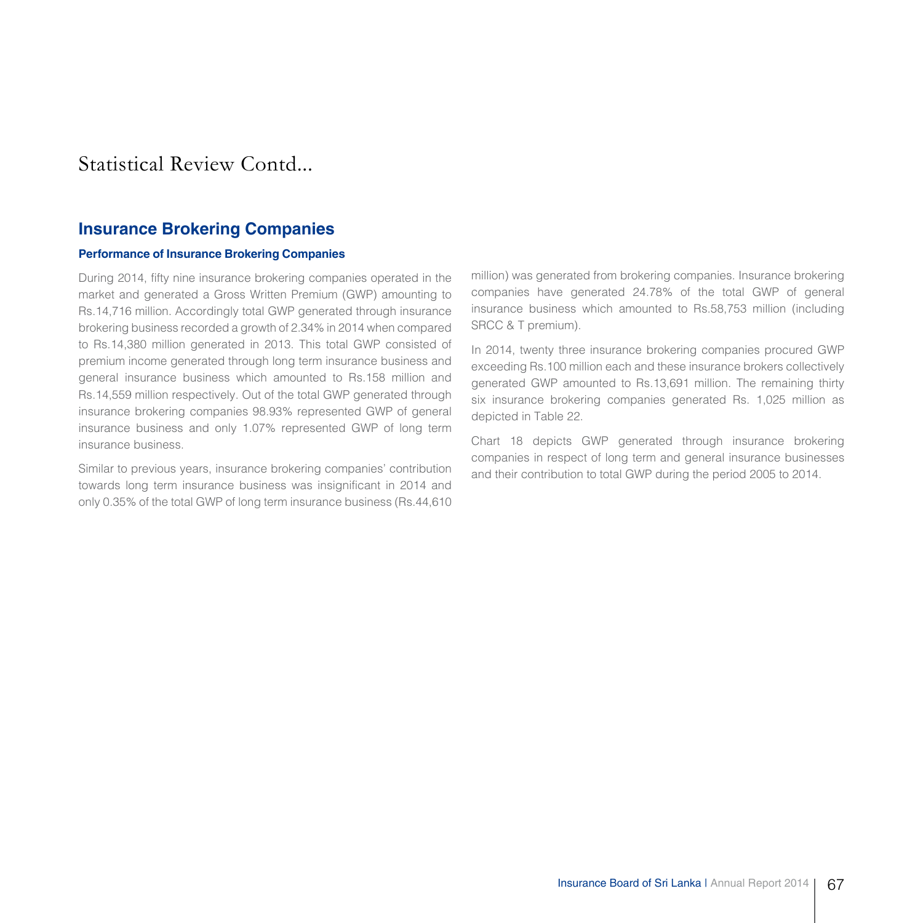### **Insurance Brokering Companies**

#### **Performance of Insurance Brokering Companies**

During 2014, fifty nine insurance brokering companies operated in the market and generated a Gross Written Premium (GWP) amounting to Rs.14,716 million. Accordingly total GWP generated through insurance brokering business recorded a growth of 2.34% in 2014 when compared to Rs.14,380 million generated in 2013. This total GWP consisted of premium income generated through long term insurance business and general insurance business which amounted to Rs.158 million and Rs.14,559 million respectively. Out of the total GWP generated through insurance brokering companies 98.93% represented GWP of general insurance business and only 1.07% represented GWP of long term insurance business.

Similar to previous years, insurance brokering companies' contribution towards long term insurance business was insignificant in 2014 and only 0.35% of the total GWP of long term insurance business (Rs.44,610

million) was generated from brokering companies. Insurance brokering companies have generated 24.78% of the total GWP of general insurance business which amounted to Rs.58,753 million (including SRCC & T premium).

In 2014, twenty three insurance brokering companies procured GWP exceeding Rs.100 million each and these insurance brokers collectively generated GWP amounted to Rs.13,691 million. The remaining thirty six insurance brokering companies generated Rs. 1,025 million as depicted in Table 22.

Chart 18 depicts GWP generated through insurance brokering companies in respect of long term and general insurance businesses and their contribution to total GWP during the period 2005 to 2014.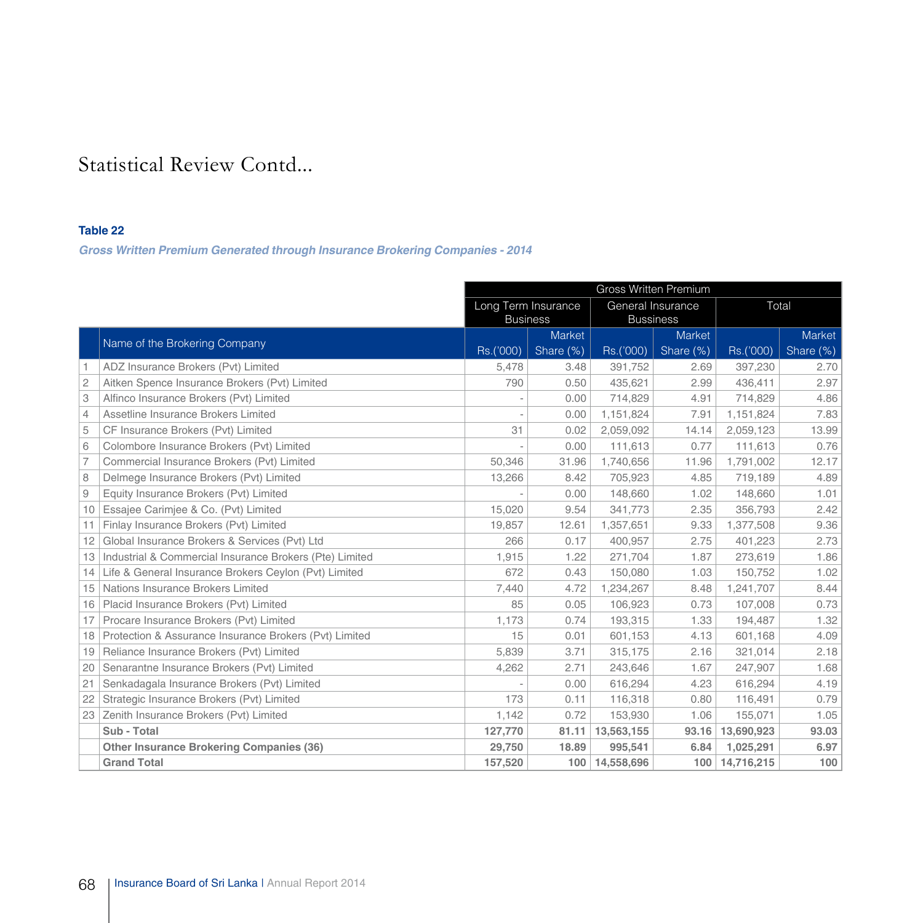#### **Table 22**

**Gross Written Premium generated through Insurance Brokering Companies - 2014**

|                |                                                           | <b>Gross Written Premium</b>           |           |                                       |           |                |               |
|----------------|-----------------------------------------------------------|----------------------------------------|-----------|---------------------------------------|-----------|----------------|---------------|
|                |                                                           | Long Term Insurance<br><b>Business</b> |           | General Insurance<br><b>Bussiness</b> |           | Total          |               |
|                |                                                           |                                        | Market    |                                       | Market    |                | <b>Market</b> |
|                | Name of the Brokering Company                             | Rs.('000)                              | Share (%) | Rs.('000)                             | Share (%) | Rs.('000)      | Share (%)     |
|                | ADZ Insurance Brokers (Pvt) Limited                       | 5,478                                  | 3.48      | 391,752                               | 2.69      | 397,230        | 2.70          |
| $\mathbf{2}$   | Aitken Spence Insurance Brokers (Pvt) Limited             | 790                                    | 0.50      | 435,621                               | 2.99      | 436,411        | 2.97          |
| 3              | Alfinco Insurance Brokers (Pvt) Limited                   |                                        | 0.00      | 714,829                               | 4.91      | 714,829        | 4.86          |
| $\overline{4}$ | Assetline Insurance Brokers Limited                       |                                        | 0.00      | 1,151,824                             | 7.91      | 1,151,824      | 7.83          |
| 5              | CF Insurance Brokers (Pvt) Limited                        | 31                                     | 0.02      | 2,059,092                             | 14.14     | 2,059,123      | 13.99         |
| 6              | Colombore Insurance Brokers (Pvt) Limited                 |                                        | 0.00      | 111,613                               | 0.77      | 111,613        | 0.76          |
|                | Commercial Insurance Brokers (Pvt) Limited                | 50,346                                 | 31.96     | 1,740,656                             | 11.96     | 1,791,002      | 12.17         |
| 8              | Delmege Insurance Brokers (Pvt) Limited                   | 13,266                                 | 8.42      | 705,923                               | 4.85      | 719,189        | 4.89          |
| 9              | Equity Insurance Brokers (Pvt) Limited                    |                                        | 0.00      | 148,660                               | 1.02      | 148,660        | 1.01          |
| 10             | Essajee Carimjee & Co. (Pvt) Limited                      | 15,020                                 | 9.54      | 341,773                               | 2.35      | 356,793        | 2.42          |
| 11             | Finlay Insurance Brokers (Pvt) Limited                    | 19,857                                 | 12.61     | 1,357,651                             | 9.33      | 1,377,508      | 9.36          |
| 12             | Global Insurance Brokers & Services (Pvt) Ltd             | 266                                    | 0.17      | 400,957                               | 2.75      | 401,223        | 2.73          |
| 13             | Industrial & Commercial Insurance Brokers (Pte) Limited   | 1,915                                  | 1.22      | 271,704                               | 1.87      | 273.619        | 1.86          |
| 14             | Life & General Insurance Brokers Ceylon (Pvt) Limited     | 672                                    | 0.43      | 150,080                               | 1.03      | 150,752        | 1.02          |
| 15             | Nations Insurance Brokers Limited                         | 7,440                                  | 4.72      | 1,234,267                             | 8.48      | 1,241,707      | 8.44          |
| 16             | Placid Insurance Brokers (Pvt) Limited                    | 85                                     | 0.05      | 106,923                               | 0.73      | 107,008        | 0.73          |
| 17             | Procare Insurance Brokers (Pvt) Limited                   | 1,173                                  | 0.74      | 193,315                               | 1.33      | 194.487        | 1.32          |
|                | 18 Protection & Assurance Insurance Brokers (Pvt) Limited | 15                                     | 0.01      | 601,153                               | 4.13      | 601,168        | 4.09          |
| 19             | Reliance Insurance Brokers (Pvt) Limited                  | 5,839                                  | 3.71      | 315,175                               | 2.16      | 321,014        | 2.18          |
| 20             | Senarantne Insurance Brokers (Pvt) Limited                | 4,262                                  | 2.71      | 243,646                               | 1.67      | 247,907        | 1.68          |
| 21             | Senkadagala Insurance Brokers (Pvt) Limited               |                                        | 0.00      | 616,294                               | 4.23      | 616,294        | 4.19          |
| 22             | Strategic Insurance Brokers (Pvt) Limited                 | 173                                    | 0.11      | 116,318                               | 0.80      | 116,491        | 0.79          |
| 23             | Zenith Insurance Brokers (Pvt) Limited                    | 1,142                                  | 0.72      | 153,930                               | 1.06      | 155,071        | 1.05          |
|                | Sub - Total                                               | 127,770                                | 81.11     | 13,563,155                            | 93.16     | 13,690,923     | 93.03         |
|                | <b>Other Insurance Brokering Companies (36)</b>           | 29,750                                 | 18.89     | 995,541                               | 6.84      | 1,025,291      | 6.97          |
|                | <b>Grand Total</b>                                        | 157,520                                | 100       | 14,558,696                            |           | 100 14,716,215 | 100           |